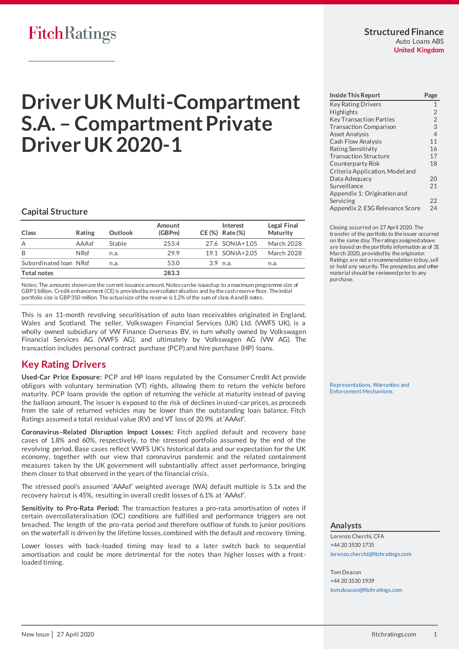# **Driver UK Multi-Compartment S.A. – Compartment Private Driver UK 2020-1**

### **Capital Structure**

| Class                  | Rating      | <b>Outlook</b> | Amount<br>(GBPm) | Interest<br>CE (%) Rate (%) | Legal Final<br>Maturity |
|------------------------|-------------|----------------|------------------|-----------------------------|-------------------------|
| A                      | $AAA$ sf    | Stable         | 253.4            | 27.6 SONIA+1.05             | March 2028              |
| B                      | <b>NRsf</b> | n.a.           | 29.9             | 19.1 SONIA+2.05             | March 2028              |
| Subordinated Ioan NRsf |             | n.a.           | 53.0             | $3.9$ n.a.                  | n.a.                    |
| <b>Total notes</b>     |             |                | 283.3            |                             |                         |

Notes: The amounts shown are the current issuance amount. Notes can be issued up to a maximum programme size of GBP1 billion. Credit enhancement (CE) is provided by overcollateralisation and by the cash reserve floor. The initial portfolio size is GBP350 million. The actual size of the reserve is 1.2% of the sum of class A and B notes.

This is an 11-month revolving securitisation of auto loan receivables originated in England, Wales and Scotland. The seller, Volkswagen Financial Services (UK) Ltd. (VWFS UK), is a wholly owned subsidiary of VW Finance Overseas BV, in turn wholly owned by Volkswagen Financial Services AG (VWFS AG), and ultimately by Volkswagen AG (VW AG). The transaction includes personal contract purchase (PCP) and hire purchase (HP) loans.

# <span id="page-0-0"></span>**Key Rating Drivers**

**Used-Car Price Exposure:** PCP and HP loans regulated by the Consumer Credit Act provide obligors with voluntary termination (VT) rights, allowing them to return the vehicle before maturity. PCP loans provide the option of returning the vehicle at maturity instead of paying the balloon amount. The issuer is exposed to the risk of declines in used-car prices, as proceeds from the sale of returned vehicles may be lower than the outstanding loan balance. Fitch Ratings assumed a total residual value (RV) and VT loss of 20.9% at 'AAAsf'.

**Coronavirus–Related Disruption Impact Losses:** Fitch applied default and recovery base cases of 1.8% and 60%, respectively, to the stressed portfolio assumed by the end of the revolving period. Base cases reflect VWFS UK's historical data and our expectation for the UK economy, together with our view that coronavirus pandemic and the related containment measures taken by the UK government will substantially affect asset performance, bringing them closer to that observed in the years of the financial crisis.

The stressed pool's assumed 'AAAsf' weighted average (WA) default multiple is 5.1x and the recovery haircut is 45%, resulting in overall credit losses of 6.1% at 'AAAsf'.

**Sensitivity to Pro-Rata Period:** The transaction features a pro-rata amortisation of notes if certain overcollateralisation (OC) conditions are fulfilled and performance triggers are not breached. The length of the pro-rata period and therefore outflow of funds to junior positions on the waterfall is driven by the lifetime losses, combined with the default and recovery timing.

Lower losses with back-loaded timing may lead to a later switch back to sequential amortisation and could be more detrimental for the notes than higher losses with a frontloaded timing.

| <b>Inside This Report</b>       | Page           |
|---------------------------------|----------------|
| <b>Key Rating Drivers</b>       | $\mathbf{1}$   |
| <b>Highlights</b>               | $\overline{2}$ |
| <b>Key Transaction Parties</b>  | $\overline{2}$ |
| <b>Transaction Comparison</b>   | $\overline{3}$ |
| <b>Asset Analysis</b>           | $\overline{4}$ |
| <b>Cash Flow Analysis</b>       | 11             |
| Rating Sensitivity              | 16             |
| <b>Transaction Structure</b>    | 17             |
| Counterparty Risk               | 18             |
| Criteria Application, Model and |                |
| Data Adequacy                   | 20             |
| Surveillance                    | 21             |
| Appendix 1: Origination and     |                |
| Servicing                       | 22             |
| Appendix 2: ESG Relevance Score | 24             |

Closing occurred on 27 April 2020. The transfer of the portfolio to the issuer occurred on the same day. The ratings assigned above are based on the portfolio information as of 31 March 2020, provided by the originator. Ratings are not a recommendation to buy, sell or hold any security. The prospectus and other material should be reviewed prior to any purchase.

[Representations, Warranties and](https://app.fitchconnect.com/search/research/article/RPT_10119267)  [Enforcement Mechanisms](https://app.fitchconnect.com/search/research/article/RPT_10119267) 

#### **Analysts**

Lorenzo Cherchi, CFA +44 20 3530 1735 [lorenzo.cherchi@fitchratings.com](mailto:lorenzo.cherchi@fitchratings.com)

Tom Deacon +44 20 3530 1939 [tom.deacon@fitchratings.com](mailto:tom.deacon@fitchratings.com)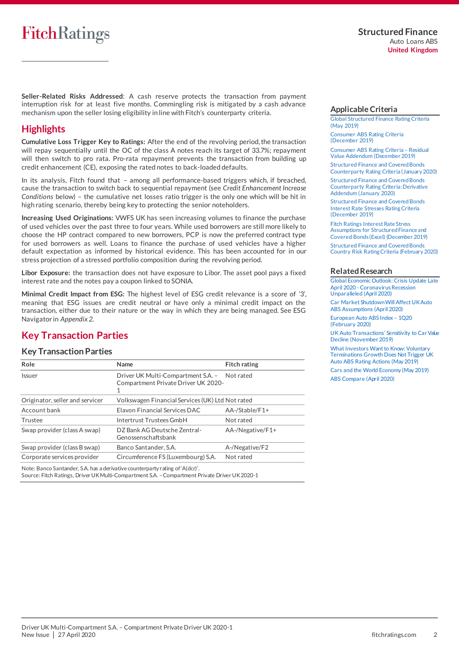**Seller-Related Risks Addressed**: A cash reserve protects the transaction from payment interruption risk for at least five months. Commingling risk is mitigated by a cash advance mechanism upon the seller losing eligibility in line with Fitch's counterparty criteria.

# <span id="page-1-0"></span>**Highlights**

**Cumulative Loss Trigger Key to Ratings:** After the end of the revolving period, the transaction will repay sequentially until the OC of the class A notes reach its target of 33.7%; repayment will then switch to pro rata. Pro-rata repayment prevents the transaction from building up credit enhancement (CE), exposing the rated notes to back-loaded defaults.

In its analysis, Fitch found that – among all performance-based triggers which, if breached, cause the transaction to switch back to sequential repayment (see *Credit Enhancement Increase Conditions* below) – the cumulative net losses ratio trigger is the only one which will be hit in high rating scenario, thereby being key to protecting the senior noteholders.

**Increasing Used Originations:** VWFS UK has seen increasing volumes to finance the purchase of used vehicles over the past three to four years. While used borrowers are still more likely to choose the HP contract compared to new borrowers, PCP is now the preferred contract type for used borrowers as well. Loans to finance the purchase of used vehicles have a higher default expectation as informed by historical evidence. This has been accounted for in our stress projection of a stressed portfolio composition during the revolving period.

**Libor Exposure:** the transaction does not have exposure to Libor. The asset pool pays a fixed interest rate and the notes pay a coupon linked to SONIA.

**Minimal Credit Impact from ESG:** The highest level of ESG credit relevance is a score of '3', meaning that ESG issues are credit neutral or have only a minimal credit impact on the transaction, either due to their nature or the way in which they are being managed. See ESG Navigator in *Appendix 2*.

# <span id="page-1-1"></span>**Key Transaction Parties**

#### **Key Transaction Parties**

| Role                            | Name                                                                                     | <b>Fitch rating</b> |
|---------------------------------|------------------------------------------------------------------------------------------|---------------------|
| Issuer                          | Driver UK Multi-Compartment S.A. - Not rated<br>Compartment Private Driver UK 2020-<br>1 |                     |
| Originator, seller and servicer | Volkswagen Financial Services (UK) Ltd Not rated                                         |                     |
| Account bank                    | Elavon Financial Services DAC                                                            | $AA$ -/Stable/F1+   |
| Trustee                         | Intertrust Trustees GmbH                                                                 | Not rated           |
| Swap provider (class A swap)    | DZ Bank AG Deutsche Zentral-<br>Genossenschaftsbank                                      | AA-/Negative/F1+    |
| Swap provider (class B swap)    | Banco Santander, S.A.                                                                    | A-/Negative/F2      |
| Corporate services provider     | Circumference FS (Luxembourg) S.A.                                                       | Not rated           |

Note: Banco Santander, S.A. has a derivative counterparty rating of 'A(dcr)'. Source: Fitch Ratings, Driver UK Multi-Compartment S.A. –Compartment Private Driver UK 2020-1

#### <span id="page-1-2"></span>**Applicable Criteria**

[Global Structured Finance Rating Criteria](https://app.fitchconnect.com/search/research/article/RPT_10073280)  [\(May 2019\)](https://app.fitchconnect.com/search/research/article/RPT_10073280)

[Consumer ABS Rating Criteria](https://app.fitchconnect.com/search/research/article/RPT_10101290)  [\(December 2019\)](https://app.fitchconnect.com/search/research/article/RPT_10101290)

[Consumer ABS Rating Criteria](https://app.fitchconnect.com/search/research/article/RPT_10101556) – Residual [Value Addendum \(December 2019\)](https://app.fitchconnect.com/search/research/article/RPT_10101556) [Structured Finance and Covered Bonds](https://app.fitchconnect.com/search/research/article/RPT_10108544) 

[Counterparty Rating Criteria \(January 2020\)](https://app.fitchconnect.com/search/research/article/RPT_10108544)

[Structured Finance and Covered Bonds](https://app.fitchconnect.com/search/research/article/RPT_10108546)  [Counterparty Rating Criteria: Derivative](https://app.fitchconnect.com/search/research/article/RPT_10108546)  Addendum [\(January 2020\)](https://app.fitchconnect.com/search/research/article/RPT_10108546)

[Structured Finance and Covered Bonds](https://app.fitchconnect.com/search/research/article/RPT_10103887)  [Interest Rate Stresses Rating Criteria](https://app.fitchconnect.com/search/research/article/RPT_10103887)  [\(December 2019\)](https://app.fitchconnect.com/search/research/article/RPT_10103887)

[Fitch Ratings Interest Rate Stress](https://app.fitchconnect.com/search/research/article/RPT_10104368)  [Assumptions for Structured Finance and](https://app.fitchconnect.com/search/research/article/RPT_10104368)  [Covered Bonds \(Excel\) \(December 2019\)](https://app.fitchconnect.com/search/research/article/RPT_10104368) [Structured Finance and Covered Bonds](https://app.fitchconnect.com/search/research/article/RPT_10108983)  [Country Risk Rating Criteria \(February 2020\)](https://app.fitchconnect.com/search/research/article/RPT_10108983)

#### **Related Research**

[Global Economic Outlook: Crisis Update Late](https://app.fitchconnect.com/search/research/article/RPT_10119280)  April 2020 - [Coronavirus Recession](https://app.fitchconnect.com/search/research/article/RPT_10119280) [Unparalleled \(April 2020\)](https://app.fitchconnect.com/search/research/article/RPT_10119280)

[Car Market Shutdown Will Affect UK Auto](https://app.fitchconnect.com/search/research/article/PR_10117954)  [ABS Assumptions \(April 2020\)](https://app.fitchconnect.com/search/research/article/PR_10117954)

[European Auto ABS Index](https://app.fitchconnect.com/search/research/article/RPT_10111335) – 1Q20 [\(February 2020\)](https://app.fitchconnect.com/search/research/article/RPT_10111335)

[UK Auto Transactions' Sensitivity to Car Value](https://app.fitchconnect.com/search/research/article/RPT_10101120)  [Decline \(November 2019\)](https://app.fitchconnect.com/search/research/article/RPT_10101120)

[What Investors Want to Know: Voluntary](https://app.fitchconnect.com/search/research/article/RPT_10067461)  [Terminations Growth Does Not Trigger UK](https://app.fitchconnect.com/search/research/article/RPT_10067461)  [Auto ABS Rating Actions \(May 2019\)](https://app.fitchconnect.com/search/research/article/RPT_10067461)

[Cars and the World Economy \(May 2019\)](https://app.fitchconnect.com/search/research/article/RPT_10076111) [ABS Compare \(April 2020\)](https://app.fitchconnect.com/search/research/article/RPT_10116872)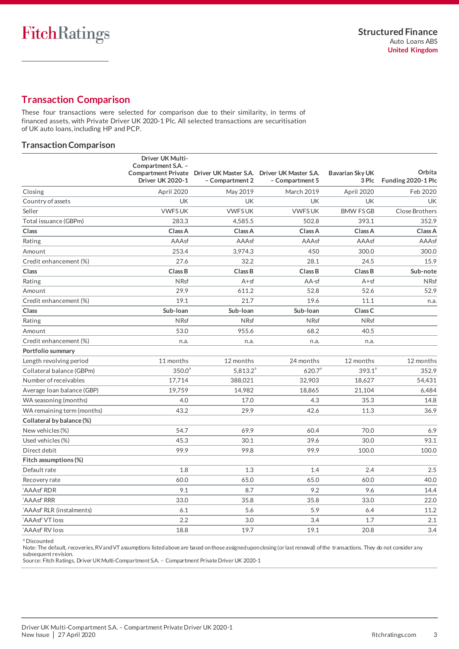# <span id="page-2-0"></span>**Transaction Comparison**

These four transactions were selected for comparison due to their similarity, in terms of financed assets, with Private Driver UK 2020-1 Plc. All selected transactions are securitisation of UK auto loans, including HP and PCP.

### **Transaction Comparison**

| Closing<br>April 2020<br><b>March 2019</b><br>April 2020<br>Feb 2020<br>May 2019<br>UK<br><b>UK</b><br><b>UK</b><br>UK<br><b>UK</b><br>Country of assets<br><b>VWFSUK</b><br><b>VWFSUK</b><br><b>VWFSUK</b><br><b>BMW FSGB</b><br>Close Brothers<br>Seller<br>Total issuance (GBPm)<br>283.3<br>502.8<br>393.1<br>352.9<br>4,585.5<br>Class A<br>Class<br>Class A<br>Class A<br>Class A<br>Class A<br>AAAsf<br>AAAsf<br>AAAsf<br>AAAsf<br>AAAsf<br>Rating<br>253.4<br>3,974.3<br>450<br>300.0<br>300.0<br>Amount<br>27.6<br>Credit enhancement (%)<br>32.2<br>28.1<br>24.5<br>15.9<br>Class<br>Class B<br>Class B<br>Class B<br>Class B<br>Sub-note<br>Rating<br><b>NRsf</b><br>$A + sf$<br>AA-sf<br>$A + sf$<br><b>NRsf</b><br>611.2<br>52.8<br>52.6<br>52.9<br>Amount<br>29.9<br>21.7<br>19.6<br>Credit enhancement (%)<br>19.1<br>11.1<br>n.a.<br>Sub-Ioan<br>Sub-Ioan<br>Class <sub>C</sub><br>Class<br>Sub-Ioan<br><b>N</b> Rsf<br><b>NRsf</b><br><b>NRsf</b><br><b>N</b> Rsf<br>Rating<br>40.5<br>53.0<br>955.6<br>68.2<br>Amount<br>Credit enhancement (%)<br>n.a.<br>n.a.<br>n.a.<br>n.a.<br>Portfolio summary<br>11 months<br>12 months<br>12 months<br>Length revolving period<br>24 months<br>12 months<br>$393.1^a$<br>$350.0^{\circ}$<br>$5,813.2^a$<br>620.7 <sup>a</sup><br>352.9<br>Collateral balance (GBPm)<br>Number of receivables<br>17,714<br>388,021<br>32,903<br>18,627<br>54,431<br>19,759<br>Average Ioan balance (GBP)<br>14,982<br>18,865<br>21,104<br>6,484<br>4.0<br>17.0<br>4.3<br>35.3<br>14.8<br>WA seasoning (months)<br>43.2<br>29.9<br>42.6<br>11.3<br>36.9<br>WA remaining term (months)<br>Collateral by balance (%)<br>54.7<br>69.9<br>60.4<br>70.0<br>6.9<br>New vehicles (%)<br>39.6<br>93.1<br>45.3<br>30.1<br>30.0<br>Used vehicles (%)<br>Direct debit<br>99.9<br>99.8<br>99.9<br>100.0<br>100.0<br>Fitch assumptions (%)<br>Default rate<br>2.4<br>2.5<br>1.8<br>1.3<br>1.4<br>40.0<br>60.0<br>65.0<br>65.0<br>60.0<br>Recovery rate<br>9.2<br>9.6<br>9.1<br>8.7<br>14.4<br>'AAAsf' RDR<br>33.0<br>35.8<br>35.8<br>33.0<br>22.0<br>'AAAsf' RRR<br>5.6<br>5.9<br>11.2<br>'AAAsf' RLR (instalments)<br>6.1<br>6.4 | Driver UK Multi-<br>Compartment S.A. -<br><b>Compartment Private</b><br><b>Driver UK 2020-1</b> | Driver UK Master S.A. Driver UK Master S.A.<br>- Compartment 2 | - Compartment 5 | <b>Bavarian Sky UK</b><br>3 Plc | Orbita<br>Funding 2020-1 Plc |
|--------------------------------------------------------------------------------------------------------------------------------------------------------------------------------------------------------------------------------------------------------------------------------------------------------------------------------------------------------------------------------------------------------------------------------------------------------------------------------------------------------------------------------------------------------------------------------------------------------------------------------------------------------------------------------------------------------------------------------------------------------------------------------------------------------------------------------------------------------------------------------------------------------------------------------------------------------------------------------------------------------------------------------------------------------------------------------------------------------------------------------------------------------------------------------------------------------------------------------------------------------------------------------------------------------------------------------------------------------------------------------------------------------------------------------------------------------------------------------------------------------------------------------------------------------------------------------------------------------------------------------------------------------------------------------------------------------------------------------------------------------------------------------------------------------------------------------------------------------------------------------------------------------------------------------------------------------------------------------------------------------------------------------------------------------------------------------------------------------------------------------------------------------------|-------------------------------------------------------------------------------------------------|----------------------------------------------------------------|-----------------|---------------------------------|------------------------------|
|                                                                                                                                                                                                                                                                                                                                                                                                                                                                                                                                                                                                                                                                                                                                                                                                                                                                                                                                                                                                                                                                                                                                                                                                                                                                                                                                                                                                                                                                                                                                                                                                                                                                                                                                                                                                                                                                                                                                                                                                                                                                                                                                                              |                                                                                                 |                                                                |                 |                                 |                              |
|                                                                                                                                                                                                                                                                                                                                                                                                                                                                                                                                                                                                                                                                                                                                                                                                                                                                                                                                                                                                                                                                                                                                                                                                                                                                                                                                                                                                                                                                                                                                                                                                                                                                                                                                                                                                                                                                                                                                                                                                                                                                                                                                                              |                                                                                                 |                                                                |                 |                                 |                              |
|                                                                                                                                                                                                                                                                                                                                                                                                                                                                                                                                                                                                                                                                                                                                                                                                                                                                                                                                                                                                                                                                                                                                                                                                                                                                                                                                                                                                                                                                                                                                                                                                                                                                                                                                                                                                                                                                                                                                                                                                                                                                                                                                                              |                                                                                                 |                                                                |                 |                                 |                              |
|                                                                                                                                                                                                                                                                                                                                                                                                                                                                                                                                                                                                                                                                                                                                                                                                                                                                                                                                                                                                                                                                                                                                                                                                                                                                                                                                                                                                                                                                                                                                                                                                                                                                                                                                                                                                                                                                                                                                                                                                                                                                                                                                                              |                                                                                                 |                                                                |                 |                                 |                              |
|                                                                                                                                                                                                                                                                                                                                                                                                                                                                                                                                                                                                                                                                                                                                                                                                                                                                                                                                                                                                                                                                                                                                                                                                                                                                                                                                                                                                                                                                                                                                                                                                                                                                                                                                                                                                                                                                                                                                                                                                                                                                                                                                                              |                                                                                                 |                                                                |                 |                                 |                              |
|                                                                                                                                                                                                                                                                                                                                                                                                                                                                                                                                                                                                                                                                                                                                                                                                                                                                                                                                                                                                                                                                                                                                                                                                                                                                                                                                                                                                                                                                                                                                                                                                                                                                                                                                                                                                                                                                                                                                                                                                                                                                                                                                                              |                                                                                                 |                                                                |                 |                                 |                              |
|                                                                                                                                                                                                                                                                                                                                                                                                                                                                                                                                                                                                                                                                                                                                                                                                                                                                                                                                                                                                                                                                                                                                                                                                                                                                                                                                                                                                                                                                                                                                                                                                                                                                                                                                                                                                                                                                                                                                                                                                                                                                                                                                                              |                                                                                                 |                                                                |                 |                                 |                              |
|                                                                                                                                                                                                                                                                                                                                                                                                                                                                                                                                                                                                                                                                                                                                                                                                                                                                                                                                                                                                                                                                                                                                                                                                                                                                                                                                                                                                                                                                                                                                                                                                                                                                                                                                                                                                                                                                                                                                                                                                                                                                                                                                                              |                                                                                                 |                                                                |                 |                                 |                              |
|                                                                                                                                                                                                                                                                                                                                                                                                                                                                                                                                                                                                                                                                                                                                                                                                                                                                                                                                                                                                                                                                                                                                                                                                                                                                                                                                                                                                                                                                                                                                                                                                                                                                                                                                                                                                                                                                                                                                                                                                                                                                                                                                                              |                                                                                                 |                                                                |                 |                                 |                              |
|                                                                                                                                                                                                                                                                                                                                                                                                                                                                                                                                                                                                                                                                                                                                                                                                                                                                                                                                                                                                                                                                                                                                                                                                                                                                                                                                                                                                                                                                                                                                                                                                                                                                                                                                                                                                                                                                                                                                                                                                                                                                                                                                                              |                                                                                                 |                                                                |                 |                                 |                              |
|                                                                                                                                                                                                                                                                                                                                                                                                                                                                                                                                                                                                                                                                                                                                                                                                                                                                                                                                                                                                                                                                                                                                                                                                                                                                                                                                                                                                                                                                                                                                                                                                                                                                                                                                                                                                                                                                                                                                                                                                                                                                                                                                                              |                                                                                                 |                                                                |                 |                                 |                              |
|                                                                                                                                                                                                                                                                                                                                                                                                                                                                                                                                                                                                                                                                                                                                                                                                                                                                                                                                                                                                                                                                                                                                                                                                                                                                                                                                                                                                                                                                                                                                                                                                                                                                                                                                                                                                                                                                                                                                                                                                                                                                                                                                                              |                                                                                                 |                                                                |                 |                                 |                              |
|                                                                                                                                                                                                                                                                                                                                                                                                                                                                                                                                                                                                                                                                                                                                                                                                                                                                                                                                                                                                                                                                                                                                                                                                                                                                                                                                                                                                                                                                                                                                                                                                                                                                                                                                                                                                                                                                                                                                                                                                                                                                                                                                                              |                                                                                                 |                                                                |                 |                                 |                              |
|                                                                                                                                                                                                                                                                                                                                                                                                                                                                                                                                                                                                                                                                                                                                                                                                                                                                                                                                                                                                                                                                                                                                                                                                                                                                                                                                                                                                                                                                                                                                                                                                                                                                                                                                                                                                                                                                                                                                                                                                                                                                                                                                                              |                                                                                                 |                                                                |                 |                                 |                              |
|                                                                                                                                                                                                                                                                                                                                                                                                                                                                                                                                                                                                                                                                                                                                                                                                                                                                                                                                                                                                                                                                                                                                                                                                                                                                                                                                                                                                                                                                                                                                                                                                                                                                                                                                                                                                                                                                                                                                                                                                                                                                                                                                                              |                                                                                                 |                                                                |                 |                                 |                              |
|                                                                                                                                                                                                                                                                                                                                                                                                                                                                                                                                                                                                                                                                                                                                                                                                                                                                                                                                                                                                                                                                                                                                                                                                                                                                                                                                                                                                                                                                                                                                                                                                                                                                                                                                                                                                                                                                                                                                                                                                                                                                                                                                                              |                                                                                                 |                                                                |                 |                                 |                              |
|                                                                                                                                                                                                                                                                                                                                                                                                                                                                                                                                                                                                                                                                                                                                                                                                                                                                                                                                                                                                                                                                                                                                                                                                                                                                                                                                                                                                                                                                                                                                                                                                                                                                                                                                                                                                                                                                                                                                                                                                                                                                                                                                                              |                                                                                                 |                                                                |                 |                                 |                              |
|                                                                                                                                                                                                                                                                                                                                                                                                                                                                                                                                                                                                                                                                                                                                                                                                                                                                                                                                                                                                                                                                                                                                                                                                                                                                                                                                                                                                                                                                                                                                                                                                                                                                                                                                                                                                                                                                                                                                                                                                                                                                                                                                                              |                                                                                                 |                                                                |                 |                                 |                              |
|                                                                                                                                                                                                                                                                                                                                                                                                                                                                                                                                                                                                                                                                                                                                                                                                                                                                                                                                                                                                                                                                                                                                                                                                                                                                                                                                                                                                                                                                                                                                                                                                                                                                                                                                                                                                                                                                                                                                                                                                                                                                                                                                                              |                                                                                                 |                                                                |                 |                                 |                              |
|                                                                                                                                                                                                                                                                                                                                                                                                                                                                                                                                                                                                                                                                                                                                                                                                                                                                                                                                                                                                                                                                                                                                                                                                                                                                                                                                                                                                                                                                                                                                                                                                                                                                                                                                                                                                                                                                                                                                                                                                                                                                                                                                                              |                                                                                                 |                                                                |                 |                                 |                              |
|                                                                                                                                                                                                                                                                                                                                                                                                                                                                                                                                                                                                                                                                                                                                                                                                                                                                                                                                                                                                                                                                                                                                                                                                                                                                                                                                                                                                                                                                                                                                                                                                                                                                                                                                                                                                                                                                                                                                                                                                                                                                                                                                                              |                                                                                                 |                                                                |                 |                                 |                              |
|                                                                                                                                                                                                                                                                                                                                                                                                                                                                                                                                                                                                                                                                                                                                                                                                                                                                                                                                                                                                                                                                                                                                                                                                                                                                                                                                                                                                                                                                                                                                                                                                                                                                                                                                                                                                                                                                                                                                                                                                                                                                                                                                                              |                                                                                                 |                                                                |                 |                                 |                              |
|                                                                                                                                                                                                                                                                                                                                                                                                                                                                                                                                                                                                                                                                                                                                                                                                                                                                                                                                                                                                                                                                                                                                                                                                                                                                                                                                                                                                                                                                                                                                                                                                                                                                                                                                                                                                                                                                                                                                                                                                                                                                                                                                                              |                                                                                                 |                                                                |                 |                                 |                              |
|                                                                                                                                                                                                                                                                                                                                                                                                                                                                                                                                                                                                                                                                                                                                                                                                                                                                                                                                                                                                                                                                                                                                                                                                                                                                                                                                                                                                                                                                                                                                                                                                                                                                                                                                                                                                                                                                                                                                                                                                                                                                                                                                                              |                                                                                                 |                                                                |                 |                                 |                              |
|                                                                                                                                                                                                                                                                                                                                                                                                                                                                                                                                                                                                                                                                                                                                                                                                                                                                                                                                                                                                                                                                                                                                                                                                                                                                                                                                                                                                                                                                                                                                                                                                                                                                                                                                                                                                                                                                                                                                                                                                                                                                                                                                                              |                                                                                                 |                                                                |                 |                                 |                              |
|                                                                                                                                                                                                                                                                                                                                                                                                                                                                                                                                                                                                                                                                                                                                                                                                                                                                                                                                                                                                                                                                                                                                                                                                                                                                                                                                                                                                                                                                                                                                                                                                                                                                                                                                                                                                                                                                                                                                                                                                                                                                                                                                                              |                                                                                                 |                                                                |                 |                                 |                              |
|                                                                                                                                                                                                                                                                                                                                                                                                                                                                                                                                                                                                                                                                                                                                                                                                                                                                                                                                                                                                                                                                                                                                                                                                                                                                                                                                                                                                                                                                                                                                                                                                                                                                                                                                                                                                                                                                                                                                                                                                                                                                                                                                                              |                                                                                                 |                                                                |                 |                                 |                              |
|                                                                                                                                                                                                                                                                                                                                                                                                                                                                                                                                                                                                                                                                                                                                                                                                                                                                                                                                                                                                                                                                                                                                                                                                                                                                                                                                                                                                                                                                                                                                                                                                                                                                                                                                                                                                                                                                                                                                                                                                                                                                                                                                                              |                                                                                                 |                                                                |                 |                                 |                              |
|                                                                                                                                                                                                                                                                                                                                                                                                                                                                                                                                                                                                                                                                                                                                                                                                                                                                                                                                                                                                                                                                                                                                                                                                                                                                                                                                                                                                                                                                                                                                                                                                                                                                                                                                                                                                                                                                                                                                                                                                                                                                                                                                                              |                                                                                                 |                                                                |                 |                                 |                              |
|                                                                                                                                                                                                                                                                                                                                                                                                                                                                                                                                                                                                                                                                                                                                                                                                                                                                                                                                                                                                                                                                                                                                                                                                                                                                                                                                                                                                                                                                                                                                                                                                                                                                                                                                                                                                                                                                                                                                                                                                                                                                                                                                                              |                                                                                                 |                                                                |                 |                                 |                              |
|                                                                                                                                                                                                                                                                                                                                                                                                                                                                                                                                                                                                                                                                                                                                                                                                                                                                                                                                                                                                                                                                                                                                                                                                                                                                                                                                                                                                                                                                                                                                                                                                                                                                                                                                                                                                                                                                                                                                                                                                                                                                                                                                                              |                                                                                                 |                                                                |                 |                                 |                              |
|                                                                                                                                                                                                                                                                                                                                                                                                                                                                                                                                                                                                                                                                                                                                                                                                                                                                                                                                                                                                                                                                                                                                                                                                                                                                                                                                                                                                                                                                                                                                                                                                                                                                                                                                                                                                                                                                                                                                                                                                                                                                                                                                                              |                                                                                                 |                                                                |                 |                                 |                              |
|                                                                                                                                                                                                                                                                                                                                                                                                                                                                                                                                                                                                                                                                                                                                                                                                                                                                                                                                                                                                                                                                                                                                                                                                                                                                                                                                                                                                                                                                                                                                                                                                                                                                                                                                                                                                                                                                                                                                                                                                                                                                                                                                                              |                                                                                                 |                                                                |                 |                                 |                              |
| 'AAAsf' VT loss<br>2.2<br>3.0<br>3.4<br>2.1<br>1.7                                                                                                                                                                                                                                                                                                                                                                                                                                                                                                                                                                                                                                                                                                                                                                                                                                                                                                                                                                                                                                                                                                                                                                                                                                                                                                                                                                                                                                                                                                                                                                                                                                                                                                                                                                                                                                                                                                                                                                                                                                                                                                           |                                                                                                 |                                                                |                 |                                 |                              |
| 'AAAsf' RV loss<br>18.8<br>19.7<br>19.1<br>20.8<br>3.4                                                                                                                                                                                                                                                                                                                                                                                                                                                                                                                                                                                                                                                                                                                                                                                                                                                                                                                                                                                                                                                                                                                                                                                                                                                                                                                                                                                                                                                                                                                                                                                                                                                                                                                                                                                                                                                                                                                                                                                                                                                                                                       |                                                                                                 |                                                                |                 |                                 |                              |

<sup>a</sup> Discounted

Note: The default, recoveries, RV and VT assumptions listed above are based on those assigned upon closing (or last renewal) of the transactions. They do not consider any subsequent revision.

Source: Fitch Ratings, Driver UK Multi-Compartment S.A. – Compartment Private Driver UK 2020-1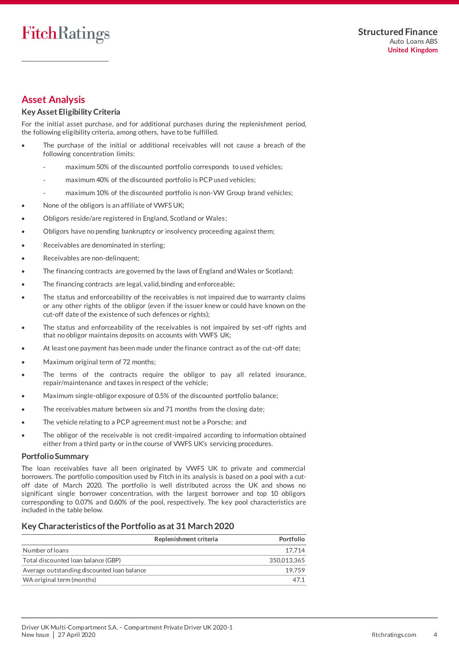# <span id="page-3-0"></span>**Asset Analysis**

### **Key Asset EligibilityCriteria**

For the initial asset purchase, and for additional purchases during the replenishment period, the following eligibility criteria, among others, have to be fulfilled.

- The purchase of the initial or additional receivables will not cause a breach of the following concentration limits:
	- maximum 50% of the discounted portfolio corresponds to used vehicles;
	- maximum 40% of the discounted portfolio is PCP used vehicles;
	- maximum 10% of the discounted portfolio is non-VW Group brand vehicles;
- None of the obligors is an affiliate of VWFS UK;
- Obligors reside/are registered in England, Scotland or Wales;
- Obligors have no pending bankruptcy or insolvency proceeding against them;
- Receivables are denominated in sterling;
- Receivables are non-delinquent;
- The financing contracts are governed by the laws of England and Wales or Scotland;
- The financing contracts are legal, valid, binding and enforceable;
- The status and enforceability of the receivables is not impaired due to warranty claims or any other rights of the obligor (even if the issuer knew or could have known on the cut-off date of the existence of such defences or rights);
- The status and enforceability of the receivables is not impaired by set-off rights and that no obligor maintains deposits on accounts with VWFS UK;
- At least one payment has been made under the finance contract as of the cut-off date;
- Maximum original term of 72 months;
- The terms of the contracts require the obligor to pay all related insurance, repair/maintenance and taxes in respect of the vehicle;
- Maximum single-obligor exposure of 0.5% of the discounted portfolio balance;
- The receivables mature between six and 71 months from the closing date;
- The vehicle relating to a PCP agreement must not be a Porsche; and
- The obligor of the receivable is not credit-impaired according to information obtained either from a third party or in the course of VWFS UK's servicing procedures.

#### **Portfolio Summary**

The loan receivables have all been originated by VWFS UK to private and commercial borrowers. The portfolio composition used by Fitch in its analysis is based on a pool with a cutoff date of March 2020. The portfolio is well distributed across the UK and shows no significant single borrower concentration, with the largest borrower and top 10 obligors corresponding to 0.07% and 0.60% of the pool, respectively. The key pool characteristics are included in the table below.

### **Key Characteristics of the Portfolio as at 31 March 2020**

|                                             | Replenishment criteria | Portfolio   |
|---------------------------------------------|------------------------|-------------|
| Number of loans                             |                        | 17.714      |
| Total discounted Ioan balance (GBP)         |                        | 350.013.365 |
| Average outstanding discounted loan balance |                        | 19.759      |
| WA original term (months)                   |                        |             |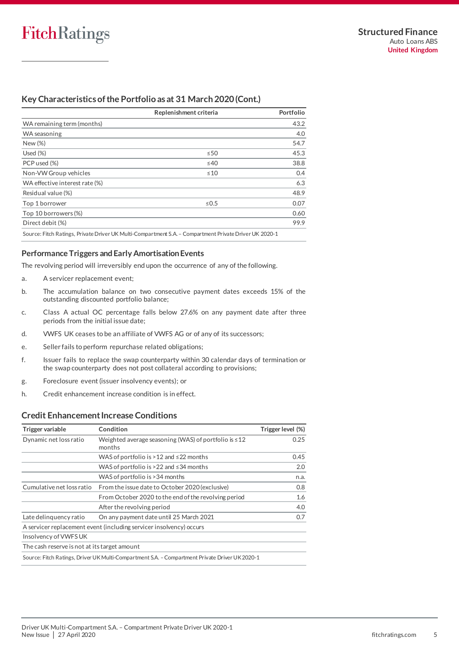### **Key Characteristics of the Portfolio as at 31 March 2020(Cont.)**

|                                | Replenishment criteria                                                                                 | Portfolio |
|--------------------------------|--------------------------------------------------------------------------------------------------------|-----------|
| WA remaining term (months)     |                                                                                                        | 43.2      |
| WA seasoning                   |                                                                                                        | 4.0       |
| New (%)                        |                                                                                                        | 54.7      |
| Used $(\%)$                    | $\leq 50$                                                                                              | 45.3      |
| PCP used (%)                   | $\leq 40$                                                                                              | 38.8      |
| Non-VW Group vehicles          | $\leq 10$                                                                                              | 0.4       |
| WA effective interest rate (%) |                                                                                                        | 6.3       |
| Residual value (%)             |                                                                                                        | 48.9      |
| Top 1 borrower                 | $\leq 0.5$                                                                                             | 0.07      |
| Top 10 borrowers (%)           |                                                                                                        | 0.60      |
| Direct debit (%)               |                                                                                                        | 99.9      |
|                                | Source: Fitch Ratings, Private Driver UK Multi-Compartment S.A. – Compartment Private Driver UK 2020-1 |           |

**Performance Triggers and Early Amortisation Events**

The revolving period will irreversibly end upon the occurrence of any of the following.

- a. A servicer replacement event;
- b. The accumulation balance on two consecutive payment dates exceeds 15% of the outstanding discounted portfolio balance;
- c. Class A actual OC percentage falls below 27.6% on any payment date after three periods from the initial issue date;
- d. VWFS UK ceases to be an affiliate of VWFS AG or of any of its successors;
- e. Seller fails to perform repurchase related obligations;
- f. Issuer fails to replace the swap counterparty within 30 calendar days of termination or the swap counterparty does not post collateral according to provisions;
- g. Foreclosure event (issuer insolvency events); or
- h. Credit enhancement increase condition is in effect.

#### **Credit Enhancement Increase Conditions**

| Trigger variable                             | Condition                                                                                      | Trigger level (%) |
|----------------------------------------------|------------------------------------------------------------------------------------------------|-------------------|
| Dynamic net loss ratio                       | Weighted average seasoning (WAS) of portfolio is $\leq 12$<br>months                           | 0.25              |
|                                              | WAS of portfolio is $>12$ and $\leq$ 22 months                                                 | 0.45              |
|                                              | WAS of portfolio is $>22$ and $\leq$ 34 months                                                 | 2.0               |
|                                              | WAS of portfolio is > 34 months                                                                | n.a.              |
| Cumulative net loss ratio                    | From the issue date to October 2020 (exclusive)                                                | 0.8               |
|                                              | From October 2020 to the end of the revolving period                                           | 1.6               |
|                                              | After the revolving period                                                                     | 4.0               |
| Late delinguency ratio                       | On any payment date until 25 March 2021                                                        | 0.7               |
|                                              | A servicer replacement event (including servicer insolvency) occurs                            |                   |
| Insolvency of VWFS UK                        |                                                                                                |                   |
| The cash reserve is not at its target amount |                                                                                                |                   |
|                                              | Source: Fitch Ratings, Driver UK Multi-Compartment S.A. – Compartment Private Driver UK 2020-1 |                   |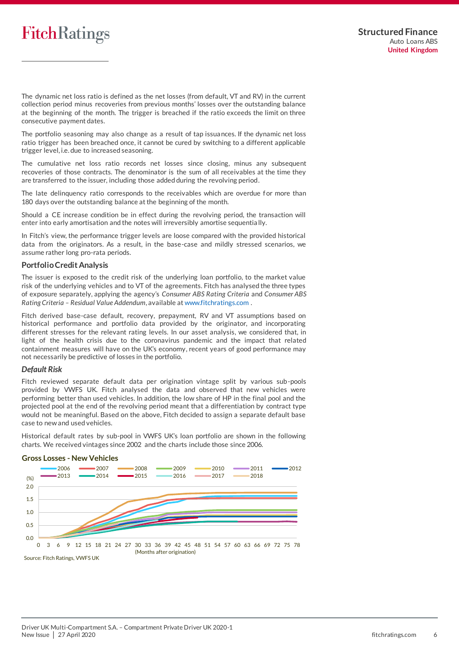The dynamic net loss ratio is defined as the net losses (from default, VT and RV) in the current collection period minus recoveries from previous months' losses over the outstanding balance at the beginning of the month. The trigger is breached if the ratio exceeds the limit on three consecutive payment dates.

The portfolio seasoning may also change as a result of tap issuances. If the dynamic net loss ratio trigger has been breached once, it cannot be cured by switching to a different applicable trigger level, i.e. due to increased seasoning.

The cumulative net loss ratio records net losses since closing, minus any subsequent recoveries of those contracts. The denominator is the sum of all receivables at the time they are transferred to the issuer, including those added during the revolving period.

The late delinquency ratio corresponds to the receivables which are overdue for more than 180 days over the outstanding balance at the beginning of the month.

Should a CE increase condition be in effect during the revolving period, the transaction will enter into early amortisation and the notes will irreversibly amortise sequentia lly.

In Fitch's view, the performance trigger levels are loose compared with the provided historical data from the originators. As a result, in the base-case and mildly stressed scenarios, we assume rather long pro-rata periods.

#### **Portfolio Credit Analysis**

The issuer is exposed to the credit risk of the underlying loan portfolio, to the market value risk of the underlying vehicles and to VT of the agreements. Fitch has analysed the three types of exposure separately, applying the agency's *Consumer ABS Rating Criteria* and *Consumer ABS Rating Criteria – Residual Value Addendum*, available [at www.fitchratings.com](http://www.fitchratings.com/) .

Fitch derived base-case default, recovery, prepayment, RV and VT assumptions based on historical performance and portfolio data provided by the originator, and incorporating different stresses for the relevant rating levels. In our asset analysis, we considered that, in light of the health crisis due to the coronavirus pandemic and the impact that related containment measures will have on the UK's economy, recent years of good performance may not necessarily be predictive of losses in the portfolio.

#### *Default Risk*

Fitch reviewed separate default data per origination vintage split by various sub-pools provided by VWFS UK. Fitch analysed the data and observed that new vehicles were performing better than used vehicles. In addition, the low share of HP in the final pool and the projected pool at the end of the revolving period meant that a differentiation by contract type would not be meaningful. Based on the above, Fitch decided to assign a separate default base case to new and used vehicles.

Historical default rates by sub-pool in VWFS UK's loan portfolio are shown in the following charts. We received vintages since 2002 and the charts include those since 2006.



### **Gross Losses - New Vehicles**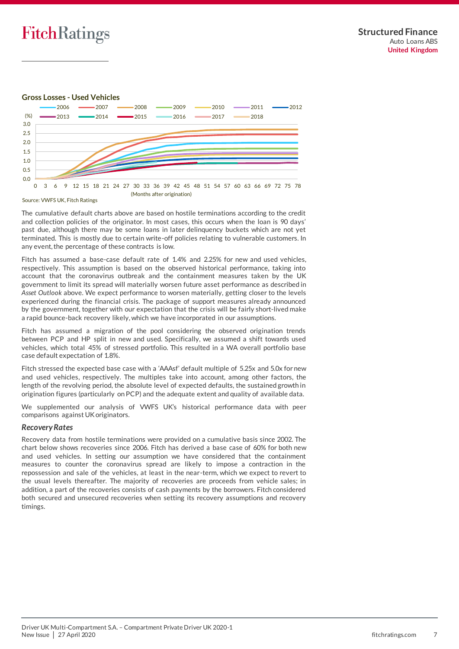#### **Gross Losses - Used Vehicles**



Source: VWFS UK, Fitch Ratings

The cumulative default charts above are based on hostile terminations according to the credit and collection policies of the originator. In most cases, this occurs when the loan is 90 days' past due, although there may be some loans in later delinquency buckets which are not yet terminated. This is mostly due to certain write-off policies relating to vulnerable customers. In any event, the percentage of these contracts is low.

Fitch has assumed a base-case default rate of 1.4% and 2.25% for new and used vehicles, respectively. This assumption is based on the observed historical performance, taking into account that the coronavirus outbreak and the containment measures taken by the UK government to limit its spread will materially worsen future asset performance as described in *Asset Outlook* above. We expect performance to worsen materially, getting closer to the levels experienced during the financial crisis. The package of support measures already announced by the government, together with our expectation that the crisis will be fairly short-lived make a rapid bounce-back recovery likely, which we have incorporated in our assumptions.

Fitch has assumed a migration of the pool considering the observed origination trends between PCP and HP split in new and used. Specifically, we assumed a shift towards used vehicles, which total 45% of stressed portfolio. This resulted in a WA overall portfolio base case default expectation of 1.8%.

Fitch stressed the expected base case with a 'AAAsf' default multiple of 5.25x and 5.0x for new and used vehicles, respectively. The multiples take into account, among other factors, the length of the revolving period, the absolute level of expected defaults, the sustained growth in origination figures (particularly on PCP) and the adequate extent and quality of available data.

We supplemented our analysis of VWFS UK's historical performance data with peer comparisons against UK originators.

#### *Recovery Rates*

Recovery data from hostile terminations were provided on a cumulative basis since 2002. The chart below shows recoveries since 2006. Fitch has derived a base case of 60% for both new and used vehicles. In setting our assumption we have considered that the containment measures to counter the coronavirus spread are likely to impose a contraction in the repossession and sale of the vehicles, at least in the near-term, which we expect to revert to the usual levels thereafter. The majority of recoveries are proceeds from vehicle sales; in addition, a part of the recoveries consists of cash payments by the borrowers. Fitch considered both secured and unsecured recoveries when setting its recovery assumptions and recovery timings.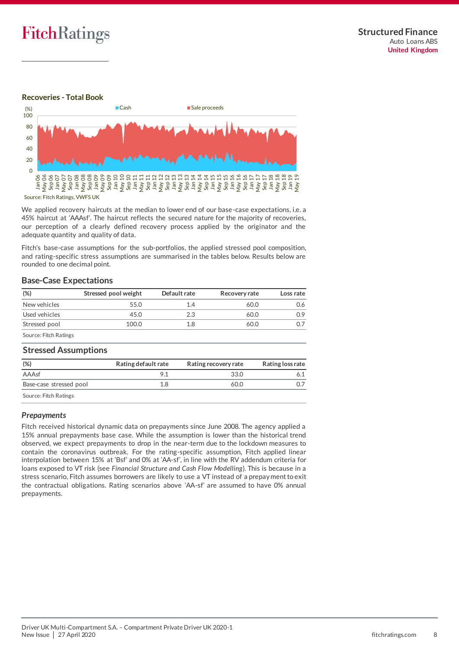

### **Recoveries - Total Book**



We applied recovery haircuts at the median to lower end of our base-case expectations, i.e. a 45% haircut at 'AAAsf'. The haircut reflects the secured nature for the majority of recoveries, our perception of a clearly defined recovery process applied by the originator and the adequate quantity and quality of data.

Fitch's base-case assumptions for the sub-portfolios, the applied stressed pool composition, and rating-specific stress assumptions are summarised in the tables below. Results below are rounded to one decimal point.

#### **Base-Case Expectations**

| (%)                          | Stressed pool weight | Default rate | Recovery rate | Loss rate |
|------------------------------|----------------------|--------------|---------------|-----------|
| New vehicles                 | 55.0                 | 14           | 60.0          | 0.6       |
| Used vehicles                | 45.0                 | 2.3          | 60.0          | 0.9       |
| Stressed pool                | 100.0                | 1.8          | 60.0          |           |
| <b>Source: Fitch Ratings</b> |                      |              |               |           |

#### **Stressed Assumptions**

| (%)                     | Rating default rate | Rating recovery rate | Rating loss rate |
|-------------------------|---------------------|----------------------|------------------|
| AAAsf                   |                     | 33.0                 |                  |
| Base-case stressed pool | 1.8                 | 60.0                 |                  |
| Source: Fitch Ratings   |                     |                      |                  |

#### *Prepayments*

Fitch received historical dynamic data on prepayments since June 2008. The agency applied a 15% annual prepayments base case. While the assumption is lower than the historical trend observed, we expect prepayments to drop in the near-term due to the lockdown measures to contain the coronavirus outbreak. For the rating-specific assumption, Fitch applied linear interpolation between 15% at 'Bsf' and 0% at 'AA-sf', in line with the RV addendum criteria for loans exposed to VT risk (see *Financial Structure and Cash Flow Modelling*). This is because in a stress scenario, Fitch assumes borrowers are likely to use a VT instead of a prepayment to exit the contractual obligations. Rating scenarios above 'AA-sf' are assumed to have 0% annual prepayments.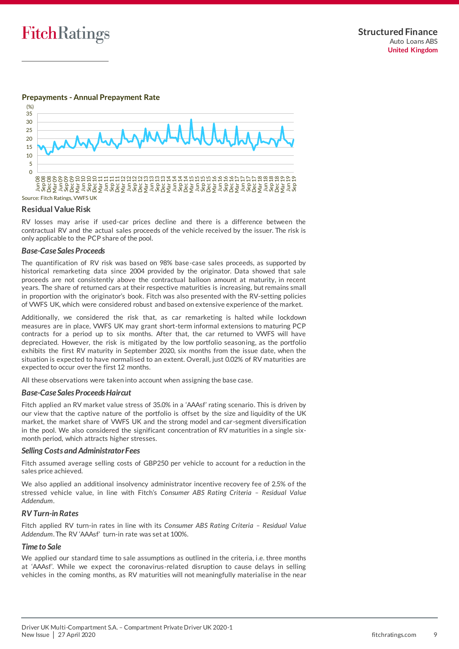#### **Prepayments - Annual Prepayment Rate**



#### **Residual Value Risk**

RV losses may arise if used-car prices decline and there is a difference between the contractual RV and the actual sales proceeds of the vehicle received by the issuer. The risk is only applicable to the PCP share of the pool.

#### *Base-Case Sales Proceeds*

The quantification of RV risk was based on 98% base-case sales proceeds, as supported by historical remarketing data since 2004 provided by the originator. Data showed that sale proceeds are not consistently above the contractual balloon amount at maturity, in recent years. The share of returned cars at their respective maturities is increasing, but remains small in proportion with the originator's book. Fitch was also presented with the RV-setting policies of VWFS UK, which were considered robust and based on extensive experience of the market.

Additionally, we considered the risk that, as car remarketing is halted while lockdown measures are in place, VWFS UK may grant short-term informal extensions to maturing PCP contracts for a period up to six months. After that, the car returned to VWFS will have depreciated. However, the risk is mitigated by the low portfolio seasoning, as the portfolio exhibits the first RV maturity in September 2020, six months from the issue date, when the situation is expected to have normalised to an extent. Overall, just 0.02% of RV maturities are expected to occur over the first 12 months.

All these observations were taken into account when assigning the base case.

#### *Base-Case Sales Proceeds Haircut*

Fitch applied an RV market value stress of 35.0% in a 'AAAsf' rating scenario. This is driven by our view that the captive nature of the portfolio is offset by the size and liquidity of the UK market, the market share of VWFS UK and the strong model and car-segment diversification in the pool. We also considered the significant concentration of RV maturities in a single sixmonth period, which attracts higher stresses.

#### *Selling Costs and Administrator Fees*

Fitch assumed average selling costs of GBP250 per vehicle to account for a reduction in the sales price achieved.

We also applied an additional insolvency administrator incentive recovery fee of 2.5% of the stressed vehicle value, in line with Fitch's *Consumer ABS Rating Criteria – Residual Value Addendum*.

#### *RV Turn-in Rates*

Fitch applied RV turn-in rates in line with its *Consumer ABS Rating Criteria – Residual Value Addendum*. The RV 'AAAsf' turn-in rate was set at 100%.

#### *Time to Sale*

We applied our standard time to sale assumptions as outlined in the criteria, i.e. three months at 'AAAsf'. While we expect the coronavirus-related disruption to cause delays in selling vehicles in the coming months, as RV maturities will not meaningfully materialise in the near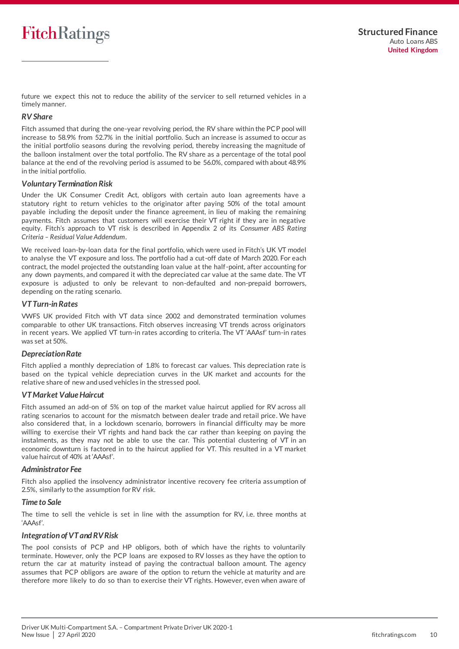future we expect this not to reduce the ability of the servicer to sell returned vehicles in a timely manner.

#### *RV Share*

Fitch assumed that during the one-year revolving period, the RV share within the PCP pool will increase to 58.9% from 52.7% in the initial portfolio. Such an increase is assumed to occur as the initial portfolio seasons during the revolving period, thereby increasing the magnitude of the balloon instalment over the total portfolio. The RV share as a percentage of the total pool balance at the end of the revolving period is assumed to be 56.0%, compared with about 48.9% in the initial portfolio.

#### *Voluntary Termination Risk*

Under the UK Consumer Credit Act, obligors with certain auto loan agreements have a statutory right to return vehicles to the originator after paying 50% of the total amount payable including the deposit under the finance agreement, in lieu of making the remaining payments. Fitch assumes that customers will exercise their VT right if they are in negative equity. Fitch's approach to VT risk is described in Appendix 2 of its *Consumer ABS Rating Criteria – Residual Value Addendum*.

We received loan-by-loan data for the final portfolio, which were used in Fitch's UK VT model to analyse the VT exposure and loss. The portfolio had a cut-off date of March 2020. For each contract, the model projected the outstanding loan value at the half-point, after accounting for any down payments, and compared it with the depreciated car value at the same date. The VT exposure is adjusted to only be relevant to non-defaulted and non-prepaid borrowers, depending on the rating scenario.

#### *VT Turn-in Rates*

VWFS UK provided Fitch with VT data since 2002 and demonstrated termination volumes comparable to other UK transactions. Fitch observes increasing VT trends across originators in recent years. We applied VT turn-in rates according to criteria. The VT 'AAAsf' turn-in rates was set at 50%.

#### *Depreciation Rate*

Fitch applied a monthly depreciation of 1.8% to forecast car values. This depreciation rate is based on the typical vehicle depreciation curves in the UK market and accounts for the relative share of new and used vehicles in the stressed pool.

#### *VT Market Value Haircut*

Fitch assumed an add-on of 5% on top of the market value haircut applied for RV across all rating scenarios to account for the mismatch between dealer trade and retail price. We have also considered that, in a lockdown scenario, borrowers in financial difficulty may be more willing to exercise their VT rights and hand back the car rather than keeping on paying the instalments, as they may not be able to use the car. This potential clustering of VT in an economic downturn is factored in to the haircut applied for VT. This resulted in a VT market value haircut of 40% at 'AAAsf'.

#### *Administrator Fee*

Fitch also applied the insolvency administrator incentive recovery fee criteria assumption of 2.5%, similarly to the assumption for RV risk.

#### *Time to Sale*

The time to sell the vehicle is set in line with the assumption for RV, i.e. three months at 'AAAsf'.

#### *Integration of VT and RV Risk*

The pool consists of PCP and HP obligors, both of which have the rights to voluntarily terminate. However, only the PCP loans are exposed to RV losses as they have the option to return the car at maturity instead of paying the contractual balloon amount. The agency assumes that PCP obligors are aware of the option to return the vehicle at maturity and are therefore more likely to do so than to exercise their VT rights. However, even when aware of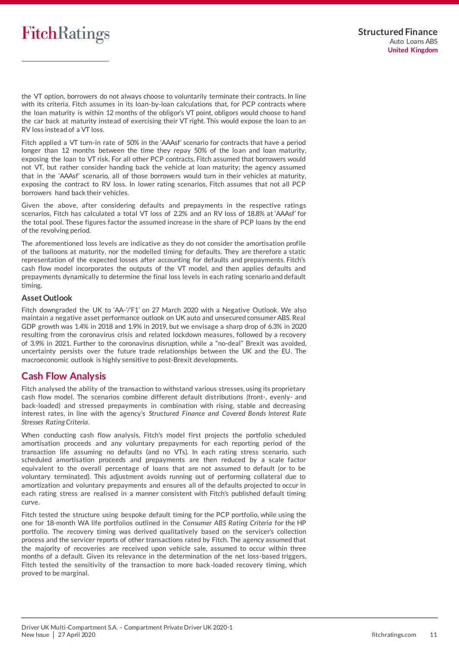the VT option, borrowers do not always choose to voluntarily terminate their contracts. In line with its criteria, Fitch assumes in its loan-by-loan calculations that, for PCP contracts where the loan maturity is within 12 months of the obligor's VT point, obligors would choose to hand the car back at maturity instead of exercising their VT right. This would expose the loan to an RV loss instead of a VT loss.

Fitch applied a VT turn-in rate of 50% in the 'AAAsf' scenario for contracts that have a period longer than 12 months between the time they repay 50% of the loan and loan maturity, exposing the loan to VT risk. For all other PCP contracts, Fitch assumed that borrowers would not VT, but rather consider handing back the vehicle at loan maturity; the agency assumed that in the 'AAAsf' scenario, all of those borrowers would turn in their vehicles at maturity, exposing the contract to RV loss. In lower rating scenarios, Fitch assumes that not all PCP borrowers hand back their vehicles.

Given the above, after considering defaults and prepayments in the respective ratings scenarios, Fitch has calculated a total VT loss of 2.2% and an RV loss of 18.8% at 'AAAsf' for the total pool. These figures factor the assumed increase in the share of PCP loans by the end of the revolving period.

The aforementioned loss levels are indicative as they do not consider the amortisation profile of the balloons at maturity, nor the modelled timing for defaults. They are therefore a static representation of the expected losses after accounting for defaults and prepayments. Fitch's cash flow model incorporates the outputs of the VT model, and then applies defaults and prepayments dynamically to determine the final loss levels in each rating scenario and default timing.

#### **Asset Outlook**

Fitch downgraded the UK to 'AA-'/'F1' on 27 March 2020 with a Negative Outlook. We also maintain a negative asset performance outlook on UK auto and unsecured consumer ABS. Real GDP growth was 1.4% in 2018 and 1.9% in 2019, but we envisage a sharp drop of 6.3% in 2020 resulting from the coronavirus crisis and related lockdown measures, followed by a recovery of 3.9% in 2021. Further to the coronavirus disruption, while a "no-deal" Brexit was avoided, uncertainty persists over the future trade relationships between the UK and the EU. The macroeconomic outlook is highly sensitive to post-Brexit developments.

## <span id="page-10-0"></span>**Cash Flow Analysis**

Fitch analysed the ability of the transaction to withstand various stresses, using its proprietary cash flow model. The scenarios combine different default distributions (front-, evenly- and back-loaded) and stressed prepayments in combination with rising, stable and decreasing interest rates, in line with the agency's *Structured Finance and Covered Bonds Interest Rate Stresses Rating Criteria*.

When conducting cash flow analysis, Fitch's model first projects the portfolio scheduled amortisation proceeds and any voluntary prepayments for each reporting period of the transaction life assuming no defaults (and no VTs). In each rating stress scenario, such scheduled amortisation proceeds and prepayments are then reduced by a scale factor equivalent to the overall percentage of loans that are not assumed to default (or to be voluntary terminated). This adjustment avoids running out of performing collateral due to amortization and voluntary prepayments and ensures all of the defaults projected to occur in each rating stress are realised in a manner consistent with Fitch's published default timing curve.

Fitch tested the structure using bespoke default timing for the PCP portfolio, while using the one for 18-month WA life portfolios outlined in the *Consumer ABS Rating Criteria* for the HP portfolio. The recovery timing was derived qualitatively based on the servicer's collection process and the servicer reports of other transactions rated by Fitch. The agency assumed that the majority of recoveries are received upon vehicle sale, assumed to occur within three months of a default. Given its relevance in the determination of the net loss-based triggers, Fitch tested the sensitivity of the transaction to more back-loaded recovery timing, which proved to be marginal.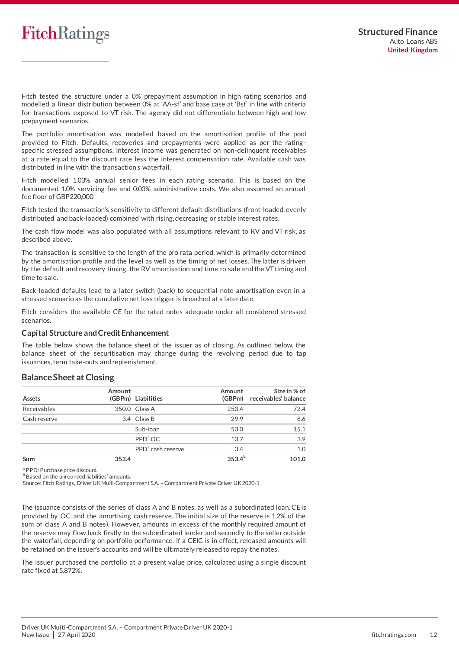Fitch tested the structure under a 0% prepayment assumption in high rating scenarios and modelled a linear distribution between 0% at 'AA-sf' and base case at 'Bsf' in line with criteria for transactions exposed to VT risk. The agency did not differentiate between high and low prepayment scenarios.

The portfolio amortisation was modelled based on the amortisation profile of the pool provided to Fitch. Defaults, recoveries and prepayments were applied as per the rating specific stressed assumptions. Interest income was generated on non-delinquent receivables at a rate equal to the discount rate less the interest compensation rate. Available cash was distributed in line with the transaction's waterfall.

Fitch modelled 1.03% annual senior fees in each rating scenario. This is based on the documented 1.0% servicing fee and 0.03% administrative costs. We also assumed an annual fee floor of GBP220,000.

Fitch tested the transaction's sensitivity to different default distributions (front-loaded, evenly distributed and back-loaded) combined with rising, decreasing or stable interest rates.

The cash flow model was also populated with all assumptions relevant to RV and VT risk, as described above.

The transaction is sensitive to the length of the pro rata period, which is primarily determined by the amortisation profile and the level as well as the timing of net losses. The latter is driven by the default and recovery timing, the RV amortisation and time to sale and the VT timing and time to sale.

Back-loaded defaults lead to a later switch (back) to sequential note amortisation even in a stressed scenario as the cumulative net loss trigger is breached at a later date.

Fitch considers the available CE for the rated notes adequate under all considered stressed scenarios.

#### **Capital Structure and Credit Enhancement**

The table below shows the balance sheet of the issuer as of closing. As outlined below, the balance sheet of the securitisation may change during the revolving period due to tap issuances, term take-outs and replenishment.

### **Balance Sheet at Closing**

| Assets       | Amount | (GBPm) Liabilities            | Amount<br>(GBPm) | Size in % of<br>receivables' balance |
|--------------|--------|-------------------------------|------------------|--------------------------------------|
| Receivables  |        | 350.0 Class A                 | 253.4            | 72.4                                 |
| Cash reserve |        | 3.4 Class B                   | 29.9             | 8.6                                  |
|              |        | Sub-loan                      | 53.0             | 15.1                                 |
|              |        | PPD <sup>ª</sup> OC           | 13.7             | 3.9                                  |
|              |        | PPD <sup>a</sup> cash reserve | 3.4              | 1.0                                  |
| Sum          | 353.4  |                               | $353.4^{b}$      | 101.0                                |

<sup>a</sup> PPD: Purchase price discount.

b Based on the unrounded liabilities' amounts.

Source: Fitch Ratings, Driver UK Multi-Compartment S.A. –Compartment Private Driver UK 2020-1

The issuance consists of the series of class A and B notes, as well as a subordinated loan. CE is provided by OC and the amortising cash reserve. The initial size of the reserve is 1.2% of the sum of class A and B notes). However, amounts in excess of the monthly required amount of the reserve may flow back firstly to the subordinated lender and secondly to the seller outside the waterfall, depending on portfolio performance. If a CEIC is in effect, released amounts will be retained on the issuer's accounts and will be ultimately released to repay the notes.

The issuer purchased the portfolio at a present value price, calculated using a single discount rate fixed at 5.872%.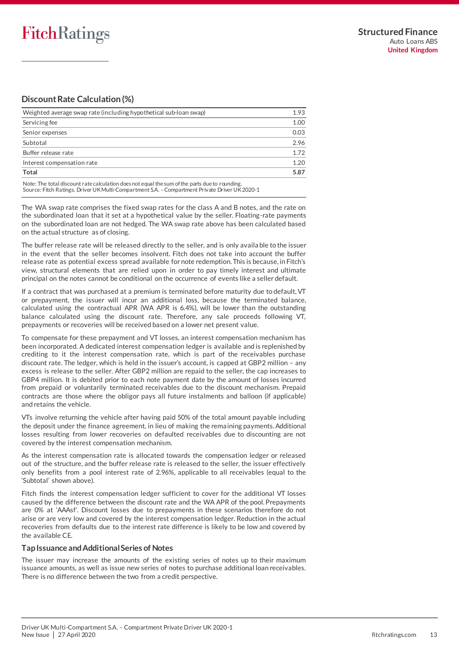## **Discount Rate Calculation (%)**

| Weighted average swap rate (including hypothetical sub-loan swap) |      |
|-------------------------------------------------------------------|------|
| Servicing fee                                                     | 1.00 |
| Senior expenses                                                   | 0.03 |
| Subtotal                                                          | 2.96 |
| Buffer release rate                                               | 1.72 |
| Interest compensation rate                                        | 1.20 |
| Total                                                             | 5.87 |

Note: The total discount rate calculation does not equal the sum of the parts due to rounding. Source: Fitch Ratings, Driver UK Multi-Compartment S.A. –Compartment Private Driver UK 2020-1

The WA swap rate comprises the fixed swap rates for the class A and B notes, and the rate on the subordinated loan that it set at a hypothetical value by the seller. Floating-rate payments on the subordinated loan are not hedged. The WA swap rate above has been calculated based on the actual structure as of closing.

The buffer release rate will be released directly to the seller, and is only availa ble to the issuer in the event that the seller becomes insolvent. Fitch does not take into account the buffer release rate as potential excess spread available for note redemption. This is because, in Fitch's view, structural elements that are relied upon in order to pay timely interest and ultimate principal on the notes cannot be conditional on the occurrence of events like a seller default.

If a contract that was purchased at a premium is terminated before maturity due to default, VT or prepayment, the issuer will incur an additional loss, because the terminated balance, calculated using the contractual APR (WA APR is 6.4%), will be lower than the outstanding balance calculated using the discount rate. Therefore, any sale proceeds following VT, prepayments or recoveries will be received based on a lower net present value.

To compensate for these prepayment and VT losses, an interest compensation mechanism has been incorporated. A dedicated interest compensation ledger is available and is replenished by crediting to it the interest compensation rate, which is part of the receivables purchase discount rate. The ledger, which is held in the issuer's account, is capped at GBP2 million – any excess is release to the seller. After GBP2 million are repaid to the seller, the cap increases to GBP4 million. It is debited prior to each note payment date by the amount of losses incurred from prepaid or voluntarily terminated receivables due to the discount mechanism. Prepaid contracts are those where the obligor pays all future instalments and balloon (if applicable) and retains the vehicle.

VTs involve returning the vehicle after having paid 50% of the total amount payable including the deposit under the finance agreement, in lieu of making the remaining payments. Additional losses resulting from lower recoveries on defaulted receivables due to discounting are not covered by the interest compensation mechanism.

As the interest compensation rate is allocated towards the compensation ledger or released out of the structure, and the buffer release rate is released to the seller, the issuer effectively only benefits from a pool interest rate of 2.96%, applicable to all receivables (equal to the 'Subtotal' shown above).

Fitch finds the interest compensation ledger sufficient to cover for the additional VT losses caused by the difference between the discount rate and the WA APR of the pool. Prepayments are 0% at 'AAAsf'. Discount losses due to prepayments in these scenarios therefore do not arise or are very low and covered by the interest compensation ledger. Reduction in the actual recoveries from defaults due to the interest rate difference is likely to be low and covered by the available CE.

### **Tap Issuance and Additional Series of Notes**

The issuer may increase the amounts of the existing series of notes up to their maximum issuance amounts, as well as issue new series of notes to purchase additional loan receivables. There is no difference between the two from a credit perspective.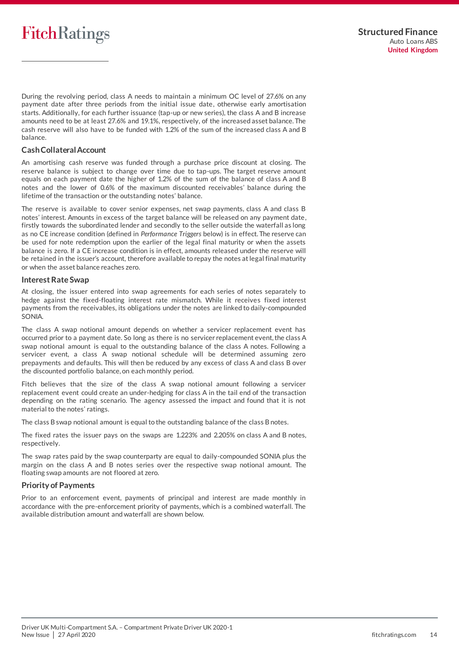During the revolving period, class A needs to maintain a minimum OC level of 27.6% on any payment date after three periods from the initial issue date, otherwise early amortisation starts. Additionally, for each further issuance (tap-up or new series), the class A and B increase amounts need to be at least 27.6% and 19.1%, respectively, of the increased asset balance. The cash reserve will also have to be funded with 1.2% of the sum of the increased class A and B balance.

#### **Cash Collateral Account**

An amortising cash reserve was funded through a purchase price discount at closing. The reserve balance is subject to change over time due to tap-ups. The target reserve amount equals on each payment date the higher of 1.2% of the sum of the balance of class A and B notes and the lower of 0.6% of the maximum discounted receivables' balance during the lifetime of the transaction or the outstanding notes' balance.

The reserve is available to cover senior expenses, net swap payments, class A and class B notes' interest. Amounts in excess of the target balance will be released on any payment date, firstly towards the subordinated lender and secondly to the seller outside the waterfall as long as no CE increase condition (defined in *Performance Triggers* below) is in effect. The reserve can be used for note redemption upon the earlier of the legal final maturity or when the assets balance is zero. If a CE increase condition is in effect, amounts released under the reserve will be retained in the issuer's account, therefore available to repay the notes at legal final maturity or when the asset balance reaches zero.

#### **Interest Rate Swap**

At closing, the issuer entered into swap agreements for each series of notes separately to hedge against the fixed-floating interest rate mismatch. While it receives fixed interest payments from the receivables, its obligations under the notes are linked to daily-compounded SONIA.

The class A swap notional amount depends on whether a servicer replacement event has occurred prior to a payment date. So long as there is no servicer replacement event, the class A swap notional amount is equal to the outstanding balance of the class A notes. Following a servicer event, a class A swap notional schedule will be determined assuming zero prepayments and defaults. This will then be reduced by any excess of class A and class B over the discounted portfolio balance, on each monthly period.

Fitch believes that the size of the class A swap notional amount following a servicer replacement event could create an under-hedging for class A in the tail end of the transaction depending on the rating scenario. The agency assessed the impact and found that it is not material to the notes' ratings.

The class B swap notional amount is equal to the outstanding balance of the class B notes.

The fixed rates the issuer pays on the swaps are 1.223% and 2.205% on class A and B notes, respectively.

The swap rates paid by the swap counterparty are equal to daily-compounded SONIA plus the margin on the class A and B notes series over the respective swap notional amount. The floating swap amounts are not floored at zero.

### **Priority of Payments**

Prior to an enforcement event, payments of principal and interest are made monthly in accordance with the pre-enforcement priority of payments, which is a combined waterfall. The available distribution amount and waterfall are shown below.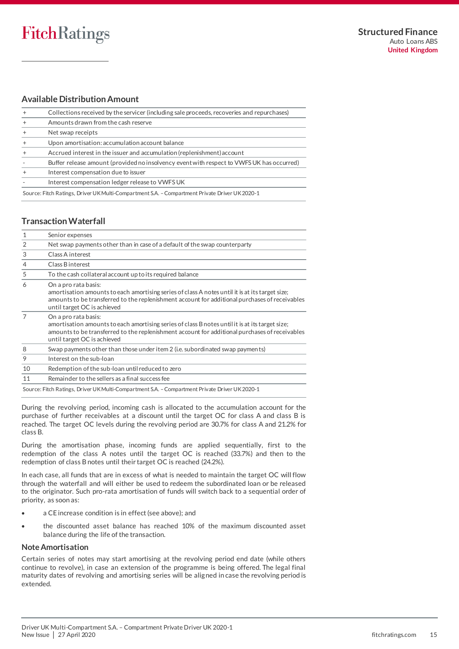### **Available Distribution Amount**

| Collections received by the servicer (including sale proceeds, recoveries and repurchases)     |  |  |
|------------------------------------------------------------------------------------------------|--|--|
| Amounts drawn from the cash reserve                                                            |  |  |
| Net swap receipts                                                                              |  |  |
| Upon amortisation: accumulation account balance                                                |  |  |
| Accrued interest in the issuer and accumulation (replenishment) account                        |  |  |
| Buffer release amount (provided no insolvency event with respect to VWFS UK has occurred)      |  |  |
| Interest compensation due to issuer                                                            |  |  |
| Interest compensation ledger release to VWFS UK                                                |  |  |
| Source: Fitch Ratings, Driver UK Multi-Compartment S.A. - Compartment Private Driver UK 2020-1 |  |  |

### **Transaction Waterfall**

| 1              | Senior expenses                                                                                                                                                                                                                                          |
|----------------|----------------------------------------------------------------------------------------------------------------------------------------------------------------------------------------------------------------------------------------------------------|
| $\overline{2}$ | Net swap payments other than in case of a default of the swap counterparty                                                                                                                                                                               |
| 3              | Class A interest                                                                                                                                                                                                                                         |
| 4              | Class B interest                                                                                                                                                                                                                                         |
| 5              | To the cash collateral account up to its required balance                                                                                                                                                                                                |
| 6              | On a pro rata basis:<br>amortisation amounts to each amortising series of class A notes until it is at its target size;<br>amounts to be transferred to the replenishment account for additional purchases of receivables<br>until target OC is achieved |
|                | On a pro rata basis:<br>amortisation amounts to each amortising series of class B notes until it is at its target size;<br>amounts to be transferred to the replenishment account for additional purchases of receivables<br>until target OC is achieved |
| 8              | Swap payments other than those under item 2 (i.e. subordinated swap payments)                                                                                                                                                                            |
| 9              | Interest on the sub-loan                                                                                                                                                                                                                                 |
| 10             | Redemption of the sub-loan until reduced to zero                                                                                                                                                                                                         |
| 11             | Remainder to the sellers as a final success fee                                                                                                                                                                                                          |
|                | Source: Fitch Ratings, Driver UK Multi-Compartment S.A. – Compartment Private Driver UK 2020-1                                                                                                                                                           |

During the revolving period, incoming cash is allocated to the accumulation account for the purchase of further receivables at a discount until the target OC for class A and class B is reached. The target OC levels during the revolving period are 30.7% for class A and 21.2% for class B.

During the amortisation phase, incoming funds are applied sequentially, first to the redemption of the class A notes until the target OC is reached (33.7%) and then to the redemption of class B notes until their target OC is reached (24.2%).

In each case, all funds that are in excess of what is needed to maintain the target OC will flow through the waterfall and will either be used to redeem the subordinated loan or be released to the originator. Such pro-rata amortisation of funds will switch back to a sequential order of priority, as soon as:

- a CE increase condition is in effect (see above); and
- the discounted asset balance has reached 10% of the maximum discounted asset balance during the life of the transaction.

### **Note Amortisation**

Certain series of notes may start amortising at the revolving period end date (while others continue to revolve), in case an extension of the programme is being offered. The legal final maturity dates of revolving and amortising series will be aligned in case the revolving period is extended.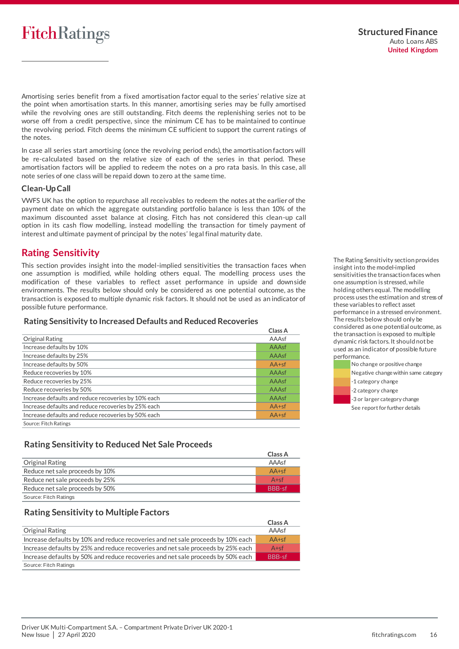Amortising series benefit from a fixed amortisation factor equal to the series' relative size at the point when amortisation starts. In this manner, amortising series may be fully amortised while the revolving ones are still outstanding. Fitch deems the replenishing series not to be worse off from a credit perspective, since the minimum CE has to be maintained to continue the revolving period. Fitch deems the minimum CE sufficient to support the current ratings of the notes.

In case all series start amortising (once the revolving period ends), the amortisation factors will be re-calculated based on the relative size of each of the series in that period. These amortisation factors will be applied to redeem the notes on a pro rata basis. In this case, all note series of one class will be repaid down to zero at the same time.

#### **Clean-Up Call**

VWFS UK has the option to repurchase all receivables to redeem the notes at the earlier of the payment date on which the aggregate outstanding portfolio balance is less than 10% of the maximum discounted asset balance at closing. Fitch has not considered this clean-up call option in its cash flow modelling, instead modelling the transaction for timely payment of interest and ultimate payment of principal by the notes' legal final maturity date.

## <span id="page-15-0"></span>**Rating Sensitivity**

This section provides insight into the model-implied sensitivities the transaction faces when one assumption is modified, while holding others equal. The modelling process uses the modification of these variables to reflect asset performance in upside and downside environments. The results below should only be considered as one potential outcome, as the transaction is exposed to multiple dynamic risk factors. It should not be used as an indicator of possible future performance.

#### **Rating Sensitivity to Increased Defaults and Reduced Recoveries**

|                                                     | Class A |
|-----------------------------------------------------|---------|
| Original Rating                                     | AAAsf   |
| Increase defaults by 10%                            | AAAsf   |
| Increase defaults by 25%                            | AAAsf   |
| Increase defaults by 50%                            | $AA+sf$ |
| Reduce recoveries by 10%                            | AAAsf   |
| Reduce recoveries by 25%                            | AAAsf   |
| Reduce recoveries by 50%                            | AAAsf   |
| Increase defaults and reduce recoveries by 10% each | AAAsf   |
| Increase defaults and reduce recoveries by 25% each | $AA+sf$ |
| Increase defaults and reduce recoveries by 50% each | $AA+sf$ |
| Source: Fitch Ratings                               |         |

### **Rating Sensitivity to Reduced Net Sale Proceeds**

|                                 | Class A       |
|---------------------------------|---------------|
| Original Rating                 | AAAsf         |
| Reduce net sale proceeds by 10% | $AA+sf$       |
| Reduce net sale proceeds by 25% | $A + sf$      |
| Reduce net sale proceeds by 50% | <b>BBB-sf</b> |
| Source: Fitch Ratings           |               |

### **Rating Sensitivity to Multiple Factors**

|                                                                                  | Class A       |
|----------------------------------------------------------------------------------|---------------|
| Original Rating                                                                  | AAAsf         |
| Increase defaults by 10% and reduce recoveries and net sale proceeds by 10% each | $AA+sf$       |
| Increase defaults by 25% and reduce recoveries and net sale proceeds by 25% each | $A + sf$      |
| Increase defaults by 50% and reduce recoveries and net sale proceeds by 50% each | <b>BBB-sf</b> |
| Source: Fitch Ratings                                                            |               |

The Rating Sensitivity section provides insight into the model-implied sensitivities the transaction faces when one assumption is stressed, while holding others equal. The modelling process uses the estimation and stress of these variables to reflect asset performance in a stressed environment. The results below should only be considered as one potential outcome, as the transaction is exposed to multiple dynamic risk factors. It should not be used as an indicator of possible future performance.

- No change or positive change
- Negative change within same category
- -1 category change
- -2 category change
- -3 or larger category change
- See report for further details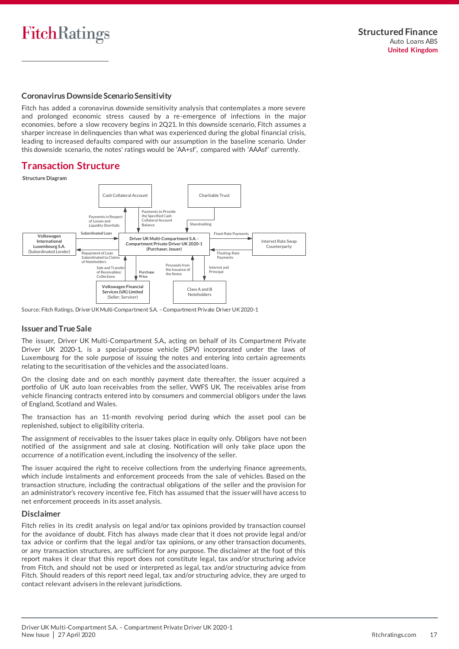#### **Coronavirus Downside Scenario Sensitivity**

Fitch has added a coronavirus downside sensitivity analysis that contemplates a more severe and prolonged economic stress caused by a re-emergence of infections in the major economies, before a slow recovery begins in 2Q21. In this downside scenario, Fitch assumes a sharper increase in delinquencies than what was experienced during the global financial crisis, leading to increased defaults compared with our assumption in the baseline scenario. Under this downside scenario, the notes' ratings would be 'AA+sf', compared with 'AAAsf' currently.

## <span id="page-16-0"></span>**Transaction Structure**

**Structure Diagram**



Source: Fitch Ratings, Driver UK Multi-Compartment S.A. –Compartment Private Driver UK 2020-1

#### **Issuer and True Sale**

The issuer, Driver UK Multi-Compartment S.A., acting on behalf of its Compartment Private Driver UK 2020-1, is a special-purpose vehicle (SPV) incorporated under the laws of Luxembourg for the sole purpose of issuing the notes and entering into certain agreements relating to the securitisation of the vehicles and the associated loans.

On the closing date and on each monthly payment date thereafter, the issuer acquired a portfolio of UK auto loan receivables from the seller, VWFS UK. The receivables arise from vehicle financing contracts entered into by consumers and commercial obligors under the laws of England, Scotland and Wales.

The transaction has an 11-month revolving period during which the asset pool can be replenished, subject to eligibility criteria.

The assignment of receivables to the issuer takes place in equity only. Obligors have not been notified of the assignment and sale at closing. Notification will only take place upon the occurrence of a notification event, including the insolvency of the seller.

The issuer acquired the right to receive collections from the underlying finance agreements, which include instalments and enforcement proceeds from the sale of vehicles. Based on the transaction structure, including the contractual obligations of the seller and the provision for an administrator's recovery incentive fee, Fitch has assumed that the issuer will have access to net enforcement proceeds in its asset analysis.

#### **Disclaimer**

Fitch relies in its credit analysis on legal and/or tax opinions provided by transaction counsel for the avoidance of doubt. Fitch has always made clear that it does not provide legal and/or tax advice or confirm that the legal and/or tax opinions, or any other transaction documents, or any transaction structures, are sufficient for any purpose. The disclaimer at the foot of this report makes it clear that this report does not constitute legal, tax and/or structuring advice from Fitch, and should not be used or interpreted as legal, tax and/or structuring advice from Fitch. Should readers of this report need legal, tax and/or structuring advice, they are urged to contact relevant advisers in the relevant jurisdictions.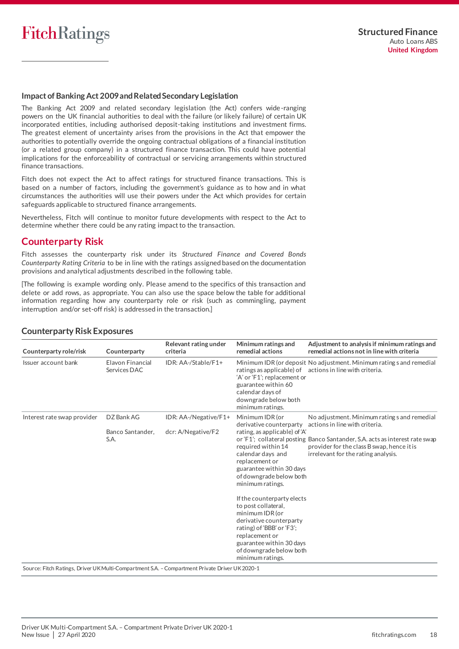

#### **Impact of Banking Act 2009 and Related Secondary Legislation**

The Banking Act 2009 and related secondary legislation (the Act) confers wide-ranging powers on the UK financial authorities to deal with the failure (or likely failure) of certain UK incorporated entities, including authorised deposit-taking institutions and investment firms. The greatest element of uncertainty arises from the provisions in the Act that empower the authorities to potentially override the ongoing contractual obligations of a financial institution (or a related group company) in a structured finance transaction. This could have potential implications for the enforceability of contractual or servicing arrangements within structured finance transactions.

Fitch does not expect the Act to affect ratings for structured finance transactions. This is based on a number of factors, including the government's guidance as to how and in what circumstances the authorities will use their powers under the Act which provides for certain safeguards applicable to structured finance arrangements.

Nevertheless, Fitch will continue to monitor future developments with respect to the Act to determine whether there could be any rating impact to the transaction.

### <span id="page-17-0"></span>**Counterparty Risk**

Fitch assesses the counterparty risk under its *Structured Finance and Covered Bonds Counterparty Rating Criteria* to be in line with the ratings assigned based on the documentation provisions and analytical adjustments described in the following table.

[The following is example wording only. Please amend to the specifics of this transaction and delete or add rows, as appropriate. You can also use the space below the table for additional information regarding how any counterparty role or risk (such as commingling, payment interruption and/or set-off risk) is addressed in the transaction.]

| Counterparty role/risk      | Counterparty                     | Relevant rating under<br>criteria | Minimum ratings and<br>remedial actions                                                                                                                                                                                                                                                                                                                                                            | Adjustment to analysis if minimum ratings and<br>remedial actions not in line with criteria                                                                       |
|-----------------------------|----------------------------------|-----------------------------------|----------------------------------------------------------------------------------------------------------------------------------------------------------------------------------------------------------------------------------------------------------------------------------------------------------------------------------------------------------------------------------------------------|-------------------------------------------------------------------------------------------------------------------------------------------------------------------|
| Issuer account bank         | Elavon Financial<br>Services DAC | IDR: AA-/Stable/F1+               | 'A' or 'F1'; replacement or<br>guarantee within 60<br>calendar days of<br>downgrade below both<br>minimum ratings.                                                                                                                                                                                                                                                                                 | Minimum IDR (or deposit No adjustment. Minimum rating s and remedial<br>ratings as applicable) of actions in line with criteria.                                  |
| Interest rate swap provider | DZ Bank AG                       | IDR: AA-/Negative/F1+             | Minimum IDR (or<br>derivative counterparty                                                                                                                                                                                                                                                                                                                                                         | No adjustment. Minimum rating s and remedial<br>actions in line with criteria.                                                                                    |
|                             | Banco Santander,<br>S.A.         | dcr: A/Negative/F2                | rating, as applicable) of 'A'<br>required within 14<br>calendar days and<br>replacement or<br>guarantee within 30 days<br>of downgrade below both<br>minimum ratings.<br>If the counterparty elects<br>to post collateral,<br>minimum IDR (or<br>derivative counterparty<br>rating) of 'BBB' or 'F3';<br>replacement or<br>guarantee within 30 days<br>of downgrade below both<br>minimum ratings. | or 'F1'; collateral posting Banco Santander, S.A. acts as interest rate swap<br>provider for the class B swap, hence it is<br>irrelevant for the rating analysis. |

#### **Counterparty Risk Exposures**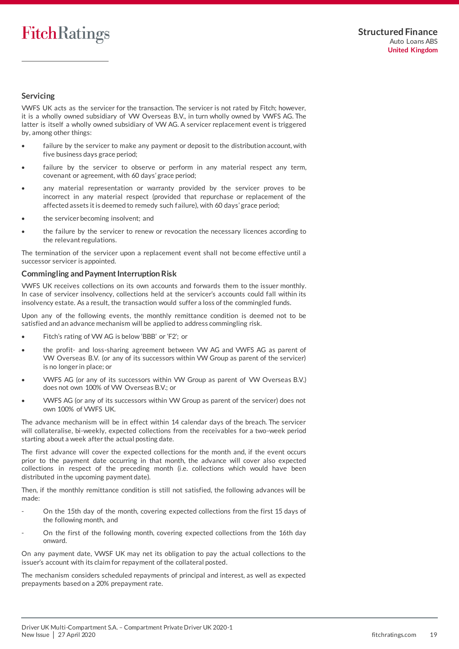### **Servicing**

VWFS UK acts as the servicer for the transaction. The servicer is not rated by Fitch; however, it is a wholly owned subsidiary of VW Overseas B.V., in turn wholly owned by VWFS AG. The latter is itself a wholly owned subsidiary of VW AG. A servicer replacement event is triggered by, among other things:

- failure by the servicer to make any payment or deposit to the distribution account, with five business days grace period;
- failure by the servicer to observe or perform in any material respect any term, covenant or agreement, with 60 days' grace period;
- any material representation or warranty provided by the servicer proves to be incorrect in any material respect (provided that repurchase or replacement of the affected assets it is deemed to remedy such failure), with 60 days' grace period;
- the servicer becoming insolvent; and
- the failure by the servicer to renew or revocation the necessary licences according to the relevant regulations.

The termination of the servicer upon a replacement event shall not become effective until a successor servicer is appointed.

#### **Commingling and Payment Interruption Risk**

VWFS UK receives collections on its own accounts and forwards them to the issuer monthly. In case of servicer insolvency, collections held at the servicer's accounts could fall within its insolvency estate. As a result, the transaction would suffer a loss of the commingled funds.

Upon any of the following events, the monthly remittance condition is deemed not to be satisfied and an advance mechanism will be applied to address commingling risk.

- Fitch's rating of VW AG is below 'BBB' or 'F2'; or
- the profit- and loss-sharing agreement between VW AG and VWFS AG as parent of VW Overseas B.V. (or any of its successors within VW Group as parent of the servicer) is no longer in place; or
- VWFS AG (or any of its successors within VW Group as parent of VW Overseas B.V.) does not own 100% of VW Overseas B.V.; or
- VWFS AG (or any of its successors within VW Group as parent of the servicer) does not own 100% of VWFS UK.

The advance mechanism will be in effect within 14 calendar days of the breach. The servicer will collateralise, bi-weekly, expected collections from the receivables for a two-week period starting about a week after the actual posting date.

The first advance will cover the expected collections for the month and, if the event occurs prior to the payment date occurring in that month, the advance will cover also expected collections in respect of the preceding month (i.e. collections which would have been distributed in the upcoming payment date).

Then, if the monthly remittance condition is still not satisfied, the following advances will be made:

- On the 15th day of the month, covering expected collections from the first 15 days of the following month, and
- On the first of the following month, covering expected collections from the 16th day onward.

On any payment date, VWSF UK may net its obligation to pay the actual collections to the issuer's account with its claim for repayment of the collateral posted.

The mechanism considers scheduled repayments of principal and interest, as well as expected prepayments based on a 20% prepayment rate.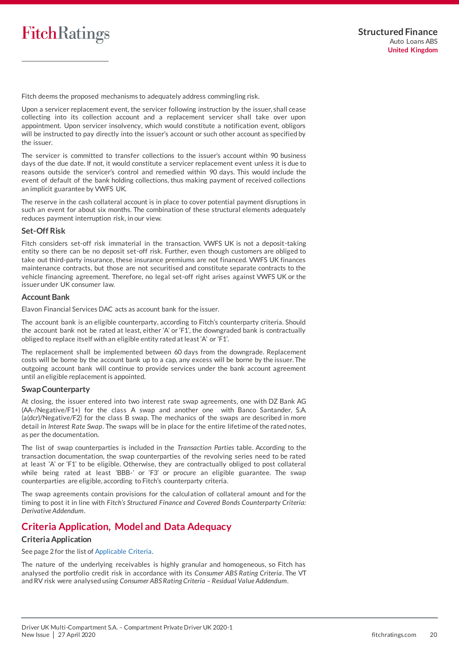

Fitch deems the proposed mechanisms to adequately address commingling risk.

Upon a servicer replacement event, the servicer following instruction by the issuer, shall cease collecting into its collection account and a replacement servicer shall take over upon appointment. Upon servicer insolvency, which would constitute a notification event, obligors will be instructed to pay directly into the issuer's account or such other account as specified by the issuer.

The servicer is committed to transfer collections to the issuer's account within 90 business days of the due date. If not, it would constitute a servicer replacement event unless it is due to reasons outside the servicer's control and remedied within 90 days. This would include the event of default of the bank holding collections, thus making payment of received collections an implicit guarantee by VWFS UK.

The reserve in the cash collateral account is in place to cover potential payment disruptions in such an event for about six months. The combination of these structural elements adequately reduces payment interruption risk, in our view.

#### **Set-Off Risk**

Fitch considers set-off risk immaterial in the transaction. VWFS UK is not a deposit-taking entity so there can be no deposit set-off risk. Further, even though customers are obliged to take out third-party insurance, these insurance premiums are not financed. VWFS UK finances maintenance contracts, but those are not securitised and constitute separate contracts to the vehicle financing agreement. Therefore, no legal set-off right arises against VWFS UK or the issuer under UK consumer law.

#### **Account Bank**

Elavon Financial Services DAC acts as account bank for the issuer.

The account bank is an eligible counterparty, according to Fitch's counterparty criteria. Should the account bank not be rated at least, either 'A' or 'F1', the downgraded bank is contractually obliged to replace itself with an eligible entity rated at least 'A' or 'F1'.

The replacement shall be implemented between 60 days from the downgrade. Replacement costs will be borne by the account bank up to a cap, any excess will be borne by the issuer. The outgoing account bank will continue to provide services under the bank account agreement until an eligible replacement is appointed.

#### **Swap Counterparty**

At closing, the issuer entered into two interest rate swap agreements, one with DZ Bank AG (AA-/Negative/F1+) for the class A swap and another one with Banco Santander, S.A. (a(dcr)/Negative/F2) for the class B swap. The mechanics of the swaps are described in more detail in *Interest Rate Swap*. The swaps will be in place for the entire lifetime of the rated notes, as per the documentation.

The list of swap counterparties is included in the *Transaction Parties* table. According to the transaction documentation, the swap counterparties of the revolving series need to be rated at least 'A' or 'F1' to be eligible. Otherwise, they are contractually obliged to post collateral while being rated at least 'BBB-' or 'F3' or procure an eligible guarantee. The swap counterparties are eligible, according to Fitch's counterparty criteria.

The swap agreements contain provisions for the calculation of collateral amount and for the timing to post it in line with *Fitch's Structured Finance and Covered Bonds Counterparty Criteria: Derivative Addendum*.

## <span id="page-19-0"></span>**Criteria Application, Model and Data Adequacy**

#### **Criteria Application**

See page 2 for the list o[f Applicable Criteria.](#page-1-2) 

The nature of the underlying receivables is highly granular and homogeneous, so Fitch has analysed the portfolio credit risk in accordance with its *Consumer ABS Rating Criteria*. The VT and RV risk were analysed using *Consumer ABS Rating Criteria – Residual Value Addendum*.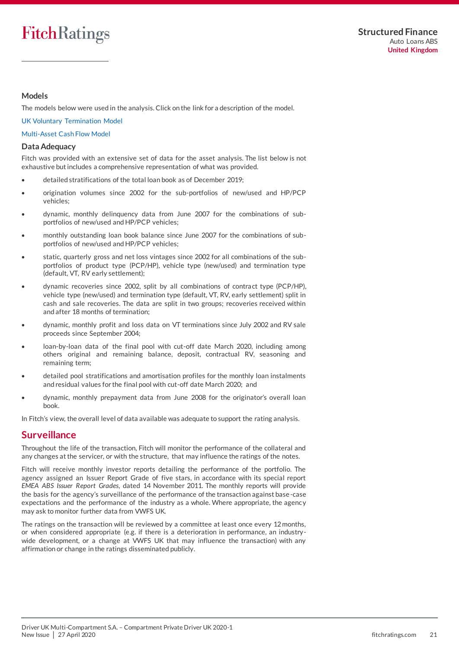#### **Models**

The models below were used in the analysis. Click on the link for a description of the model.

#### [UK Voluntary Termination Model](https://www.fitchratings.com/site/structuredfinance/abs/ukvt)

#### [Multi-Asset Cash Flow Model](https://www.fitchratings.com/site/structuredfinance/emeacfm)

#### **Data Adequacy**

Fitch was provided with an extensive set of data for the asset analysis. The list below is not exhaustive but includes a comprehensive representation of what was provided.

- detailed stratifications of the total loan book as of December 2019;
- origination volumes since 2002 for the sub-portfolios of new/used and HP/PCP vehicles;
- dynamic, monthly delinquency data from June 2007 for the combinations of subportfolios of new/used and HP/PCP vehicles;
- monthly outstanding loan book balance since June 2007 for the combinations of subportfolios of new/used and HP/PCP vehicles;
- static, quarterly gross and net loss vintages since 2002 for all combinations of the subportfolios of product type (PCP/HP), vehicle type (new/used) and termination type (default, VT, RV early settlement);
- dynamic recoveries since 2002, split by all combinations of contract type (PCP/HP), vehicle type (new/used) and termination type (default, VT, RV, early settlement) split in cash and sale recoveries. The data are split in two groups; recoveries received within and after 18 months of termination;
- dynamic, monthly profit and loss data on VT terminations since July 2002 and RV sale proceeds since September 2004;
- loan-by-loan data of the final pool with cut-off date March 2020, including among others original and remaining balance, deposit, contractual RV, seasoning and remaining term;
- detailed pool stratifications and amortisation profiles for the monthly loan instalments and residual values for the final pool with cut-off date March 2020; and
- dynamic, monthly prepayment data from June 2008 for the originator's overall loan book.

In Fitch's view, the overall level of data available was adequate to support the rating analysis.

### <span id="page-20-0"></span>**Surveillance**

Throughout the life of the transaction, Fitch will monitor the performance of the collateral and any changes at the servicer, or with the structure, that may influence the ratings of the notes.

Fitch will receive monthly investor reports detailing the performance of the portfolio. The agency assigned an Issuer Report Grade of five stars, in accordance with its special report *EMEA ABS Issuer Report Grades*, dated 14 November 2011. The monthly reports will provide the basis for the agency's surveillance of the performance of the transaction against base-case expectations and the performance of the industry as a whole. Where appropriate, the agency may ask to monitor further data from VWFS UK.

The ratings on the transaction will be reviewed by a committee at least once every 12 months, or when considered appropriate (e.g. if there is a deterioration in performance, an industrywide development, or a change at VWFS UK that may influence the transaction) with any affirmation or change in the ratings disseminated publicly.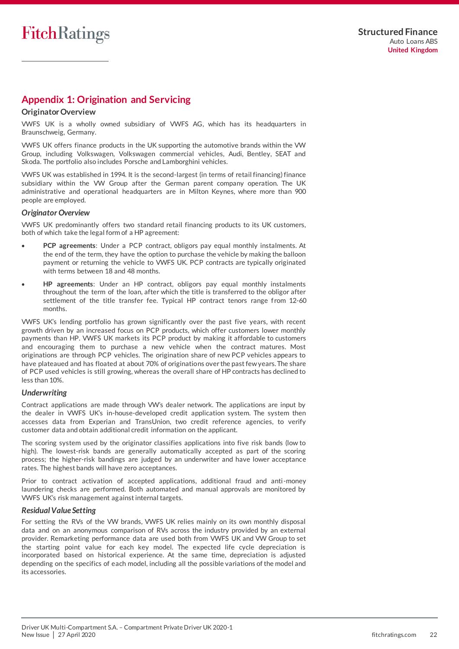# <span id="page-21-0"></span>**Appendix 1: Origination and Servicing**

#### **Originator Overview**

VWFS UK is a wholly owned subsidiary of VWFS AG, which has its headquarters in Braunschweig, Germany.

VWFS UK offers finance products in the UK supporting the automotive brands within the VW Group, including Volkswagen, Volkswagen commercial vehicles, Audi, Bentley, SEAT and Skoda. The portfolio also includes Porsche and Lamborghini vehicles.

VWFS UK was established in 1994. It is the second-largest (in terms of retail financing) finance subsidiary within the VW Group after the German parent company operation. The UK administrative and operational headquarters are in Milton Keynes, where more than 900 people are employed.

#### *Originator Overview*

VWFS UK predominantly offers two standard retail financing products to its UK customers, both of which take the legal form of a HP agreement:

- **PCP agreements**: Under a PCP contract, obligors pay equal monthly instalments. At the end of the term, they have the option to purchase the vehicle by making the balloon payment or returning the vehicle to VWFS UK. PCP contracts are typically originated with terms between 18 and 48 months.
- **HP agreements**: Under an HP contract, obligors pay equal monthly instalments throughout the term of the loan, after which the title is transferred to the obligor after settlement of the title transfer fee. Typical HP contract tenors range from 12-60 months.

VWFS UK's lending portfolio has grown significantly over the past five years, with recent growth driven by an increased focus on PCP products, which offer customers lower monthly payments than HP. VWFS UK markets its PCP product by making it affordable to customers and encouraging them to purchase a new vehicle when the contract matures. Most originations are through PCP vehicles. The origination share of new PCP vehicles appears to have plateaued and has floated at about 70% of originations over the past few years. The share of PCP used vehicles is still growing, whereas the overall share of HP contracts has declined to less than 10%.

#### *Underwriting*

Contract applications are made through VW's dealer network. The applications are input by the dealer in VWFS UK's in-house-developed credit application system. The system then accesses data from Experian and TransUnion, two credit reference agencies, to verify customer data and obtain additional credit information on the applicant.

The scoring system used by the originator classifies applications into five risk bands (low to high). The lowest-risk bands are generally automatically accepted as part of the scoring process; the higher-risk bandings are judged by an underwriter and have lower acceptance rates. The highest bands will have zero acceptances.

Prior to contract activation of accepted applications, additional fraud and anti-money laundering checks are performed. Both automated and manual approvals are monitored by VWFS UK's risk management against internal targets.

#### *Residual Value Setting*

For setting the RVs of the VW brands, VWFS UK relies mainly on its own monthly disposal data and on an anonymous comparison of RVs across the industry provided by an external provider. Remarketing performance data are used both from VWFS UK and VW Group to set the starting point value for each key model. The expected life cycle depreciation is incorporated based on historical experience. At the same time, depreciation is adjusted depending on the specifics of each model, including all the possible variations of the model and its accessories.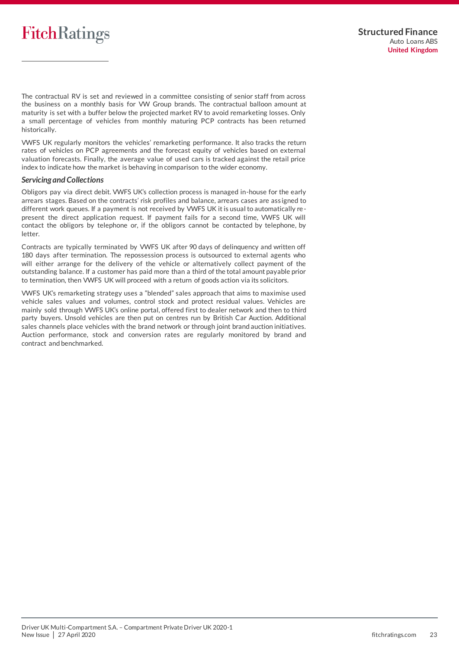

The contractual RV is set and reviewed in a committee consisting of senior staff from across the business on a monthly basis for VW Group brands. The contractual balloon amount at maturity is set with a buffer below the projected market RV to avoid remarketing losses. Only a small percentage of vehicles from monthly maturing PCP contracts has been returned historically.

VWFS UK regularly monitors the vehicles' remarketing performance. It also tracks the return rates of vehicles on PCP agreements and the forecast equity of vehicles based on external valuation forecasts. Finally, the average value of used cars is tracked against the retail price index to indicate how the market is behaving in comparison to the wider economy.

#### *Servicing and Collections*

Obligors pay via direct debit. VWFS UK's collection process is managed in-house for the early arrears stages. Based on the contracts' risk profiles and balance, arrears cases are ass igned to different work queues. If a payment is not received by VWFS UK it is usual to automatically represent the direct application request. If payment fails for a second time, VWFS UK will contact the obligors by telephone or, if the obligors cannot be contacted by telephone, by letter.

Contracts are typically terminated by VWFS UK after 90 days of delinquency and written off 180 days after termination. The repossession process is outsourced to external agents who will either arrange for the delivery of the vehicle or alternatively collect payment of the outstanding balance. If a customer has paid more than a third of the total amount payable prior to termination, then VWFS UK will proceed with a return of goods action via its solicitors.

VWFS UK's remarketing strategy uses a "blended" sales approach that aims to maximise used vehicle sales values and volumes, control stock and protect residual values. Vehicles are mainly sold through VWFS UK's online portal, offered first to dealer network and then to third party buyers. Unsold vehicles are then put on centres run by British Car Auction. Additional sales channels place vehicles with the brand network or through joint brand auction initiatives. Auction performance, stock and conversion rates are regularly monitored by brand and contract and benchmarked.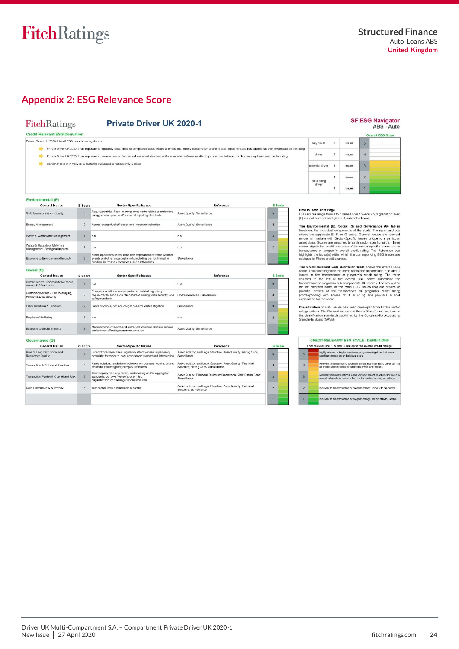# <span id="page-23-0"></span>**Appendix 2: ESG Relevance Score**

# FitchRatings

Environmental (E)

 $\overline{a}$ 

 $m \geq 5$ 

### **Private Driver UK 2020-1**

**Credit-Relevant ESG Derivation** 

.<br>Private Driver UK 2020-1 has 6 ESG potential rating drivers

- Private Driver UK 2020-1 has exposure to regulatory risks, fines, or compliance costs related to emissions, energy consumption and/or related reporting standards but this has very low impact on the rating
- Private Driver UK 2020-1 has exposure to macroeconomic factors and sustained structural shifts in secular preferences affecting consumer behavior but this has very low impact on the rating
- Governance is minimally relevant to the rating and is not currently a driver

|                  |                |               | <b>Overall ESG Scale</b> |
|------------------|----------------|---------------|--------------------------|
| key driver       | $\circ$        | issues        | 5                        |
| driver           | 0              | <i>issues</i> | $\overline{a}$           |
| potential driver | 6              | <i>issues</i> | $\overline{3}$           |
| not a rating     | $\overline{4}$ | issues        | $\overline{2}$           |
| driver           | 4              | <i>issues</i> | n                        |

**SF ESG Navigator** 

ABS - Auto

**How to Read This Page**<br>ESG scores range from 1 to 5 based on a 15-level color gradation. Red<br>(5) is most relevant and green (1) is least relevant.

The Environmental (Ep), Scribton Covernance (G) tables<br>break out the individual components of the scale. The right-hand box<br>shows the aggregate E, B, or G societ, General Issues are relevant<br>accors all markets with Sector-

depicted and the selection of the second of the selection of the Credit-Relevant ESG space. This societies the term of the second section and the selection of the selection of programs credit rating. The three selections

**Classification** of ESG issues has been developed from Fitch's sector<br>ratings criteria. The General Issues and Sector-Specific Issues draw on<br>the classification standards published by the Sustainability Accounting<br>Standard

|                | How relevant are E, S and G issues to the overall credit rating?                                                                                         |
|----------------|----------------------------------------------------------------------------------------------------------------------------------------------------------|
| 5              | Highly relevant; a key transaction or program rating driver that has a<br>significant impact on an individual basis.                                     |
| $\overline{a}$ | Relevant to transaction or program ratings; not a key rating driver but has<br>an impact on the ratings in combination with other factors.               |
| s              | Minimally relevant to ratings: either very low impact or actively mitigated in<br>a way that results in no impact on the transaction or program ratings. |
| $\overline{2}$ | Irrelevant to the transaction or program ratings: relevant to the sector.                                                                                |
|                | Irrelevant to the transaction or program ratings; irrelevant to the sector.                                                                              |

| <b>General Issues</b>                                         | E Score      | <b>Sector-Specific Issues</b>                                                                                                                                                         | Reference                   | <b>E</b> Scale |
|---------------------------------------------------------------|--------------|---------------------------------------------------------------------------------------------------------------------------------------------------------------------------------------|-----------------------------|----------------|
| GHG Emissions & Air Quality                                   |              | Regulatory risks, fines, or compliance costs related to emissions,<br>energy consumption and/or related reporting standards                                                           | Asset Quality: Surveillance | 5              |
| Energy Management                                             | $\mathbf{2}$ | Assets' energy/fuel efficiency and impact on valuation                                                                                                                                | Asset Quality: Surveillance |                |
| Water & Wastewater Management                                 |              | n.a                                                                                                                                                                                   | n.a.                        |                |
| Waste & Hazardous Materials<br>Management: Ecological Impacts |              | n.a.                                                                                                                                                                                  | n.a.                        |                |
| Exposure to Environmental Impacts                             |              | Asset, operations and/or cash flow exposure to extreme weather<br>events and other catastrophe risk, including but not limited to<br>flooding, hurricanes, tornadoes, and earthquakes | Surveillance                |                |
| Cocial (C)                                                    |              |                                                                                                                                                                                       |                             |                |

| <b>General Issues</b>                                         | S Score        | <b>Sector-Specific Issues</b>                                                                                                                    | Reference                      | <b>S</b> Scale |
|---------------------------------------------------------------|----------------|--------------------------------------------------------------------------------------------------------------------------------------------------|--------------------------------|----------------|
| Human Rights, Community Relations.<br>Access & Affordability  |                | n.a.                                                                                                                                             | n.a.                           | 5              |
| Customer Welfare - Fair Messaging,<br>Privacy & Data Security |                | Compliance with consumer protection related regulatory<br>requirements, such as fair/transparent lending, data security, and<br>safety standards | Operational Risk: Surveillance |                |
| Labor Relations & Practices                                   | $\overline{2}$ | Labor practices, pension obligations and related litigation                                                                                      | Surveillance                   |                |
| Employee Wellbeing                                            |                | n.a.                                                                                                                                             | n.a.                           |                |
| Exposure to Social Impacts                                    | $\overline{3}$ | Macroeconomic factors and sustained structural shifts in secular<br>preferences affecting consumer behavior                                      | Asset Quality: Surveillance    |                |

#### Governance (G)

| <b>General Issues</b>                                       | <b>G</b> Score | <b>Sector-Specific Issues</b>                                                                                                                              | Reference                                                                                             | <b>G</b> Scale |
|-------------------------------------------------------------|----------------|------------------------------------------------------------------------------------------------------------------------------------------------------------|-------------------------------------------------------------------------------------------------------|----------------|
| Rule of Law, Institutional and<br><b>Requlatory Quality</b> | Š              | Jurisdictional legal risks; regulatory effectiveness; supervisory<br>oversight; foreclosure laws; government support and intervention                      | Asset Isolation and Legal Structure: Asset Quality: Rating Caps:<br>Surveillance                      | 5              |
| Transaction & Collateral Structure                          | $\overline{3}$ | Asset isolation: resolution/insolvency remoteness: legal structure:<br>structural risk mitigants: complex structures                                       | Asset Isolation and Legal Structure: Asset Quality: Financial<br>Structure; Rating Caps; Surveillance |                |
| Transaction Parties & Operational Risk                      | 3              | Counterparty risk: origination, underwriting and/or aggregator<br>standards: borrower/lessee/sponsor risk:<br>originator/servicer/manager/operational risk | Asset Quality; Financial Structure; Operational Risk; Rating Caps;<br>Surveillance                    |                |
| Data Transparency & Privacy                                 | 3              | Transaction data and periodic reporting                                                                                                                    | Asset Isolation and Legal Structure; Asset Quality; Financial<br>Structure; Surveillance              |                |
|                                                             |                |                                                                                                                                                            |                                                                                                       |                |